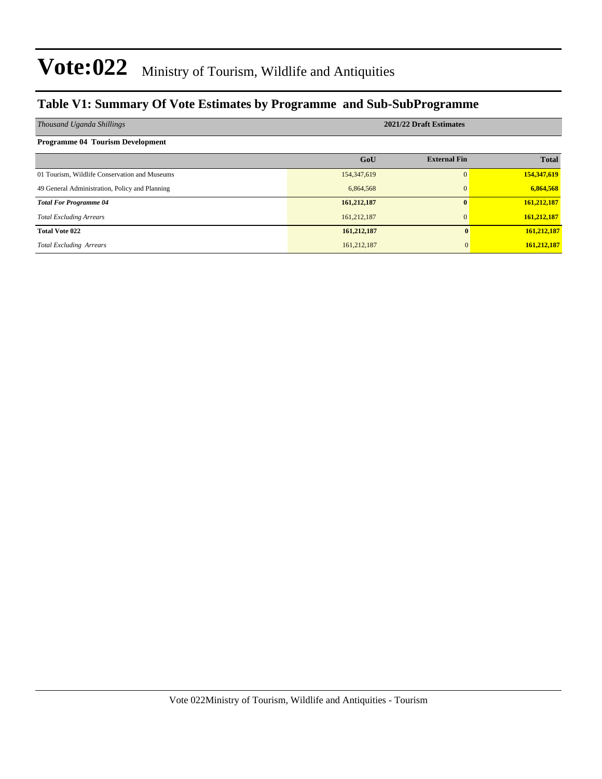### **Table V1: Summary Of Vote Estimates by Programme and Sub-SubProgramme**

| Thousand Uganda Shillings                      | 2021/22 Draft Estimates |                     |              |  |  |  |  |
|------------------------------------------------|-------------------------|---------------------|--------------|--|--|--|--|
| <b>Programme 04 Tourism Development</b>        |                         |                     |              |  |  |  |  |
|                                                | GoU                     | <b>External Fin</b> | <b>Total</b> |  |  |  |  |
| 01 Tourism, Wildlife Conservation and Museums  | 154,347,619             | $\Omega$            | 154,347,619  |  |  |  |  |
| 49 General Administration, Policy and Planning | 6,864,568               | $\mathbf{0}$        | 6,864,568    |  |  |  |  |
| <b>Total For Programme 04</b>                  | 161,212,187             | 0                   | 161,212,187  |  |  |  |  |
| <b>Total Excluding Arrears</b>                 | 161,212,187             | $\Omega$            | 161,212,187  |  |  |  |  |
| <b>Total Vote 022</b>                          | 161,212,187             | $\mathbf{0}$        | 161,212,187  |  |  |  |  |
| <b>Total Excluding Arrears</b>                 | 161,212,187             |                     | 161,212,187  |  |  |  |  |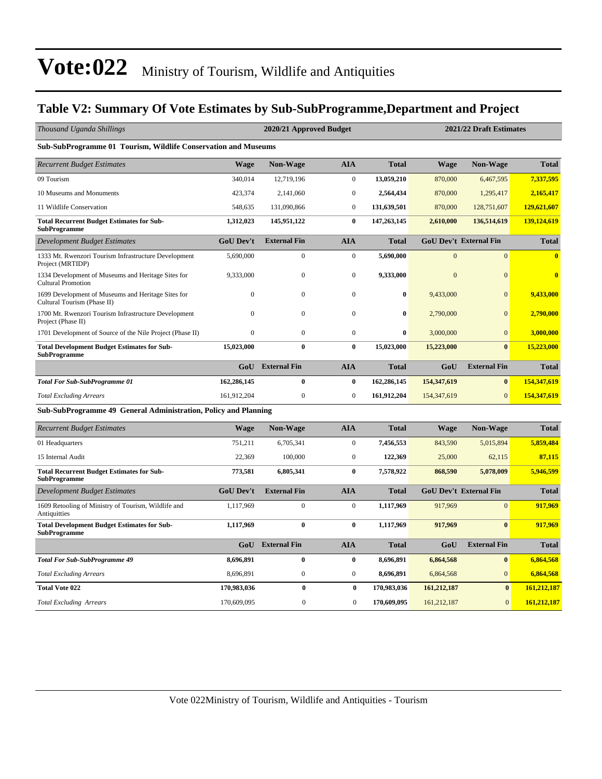#### **Table V2: Summary Of Vote Estimates by Sub-SubProgramme,Department and Project**

| Thousand Uganda Shillings                                                         |                  | 2020/21 Approved Budget<br>2021/22 Draft Estimates |                  |              |                |                               |                         |
|-----------------------------------------------------------------------------------|------------------|----------------------------------------------------|------------------|--------------|----------------|-------------------------------|-------------------------|
| Sub-SubProgramme 01 Tourism, Wildlife Conservation and Museums                    |                  |                                                    |                  |              |                |                               |                         |
| <b>Recurrent Budget Estimates</b>                                                 | <b>Wage</b>      | <b>Non-Wage</b>                                    | <b>AIA</b>       | <b>Total</b> | <b>Wage</b>    | <b>Non-Wage</b>               | <b>Total</b>            |
| 09 Tourism                                                                        | 340,014          | 12,719,196                                         | $\mathbf{0}$     | 13,059,210   | 870,000        | 6,467,595                     | 7,337,595               |
| 10 Museums and Monuments                                                          | 423,374          | 2,141,060                                          | $\boldsymbol{0}$ | 2,564,434    | 870,000        | 1,295,417                     | 2,165,417               |
| 11 Wildlife Conservation                                                          | 548,635          | 131,090,866                                        | $\mathbf{0}$     | 131,639,501  | 870,000        | 128,751,607                   | 129,621,607             |
| <b>Total Recurrent Budget Estimates for Sub-</b><br><b>SubProgramme</b>           | 1,312,023        | 145,951,122                                        | $\bf{0}$         | 147,263,145  | 2,610,000      | 136,514,619                   | 139,124,619             |
| Development Budget Estimates                                                      | <b>GoU Dev't</b> | <b>External Fin</b>                                | <b>AIA</b>       | <b>Total</b> |                | <b>GoU Dev't External Fin</b> | <b>Total</b>            |
| 1333 Mt. Rwenzori Tourism Infrastructure Development<br>Project (MRTIDP)          | 5,690,000        | $\boldsymbol{0}$                                   | $\boldsymbol{0}$ | 5,690,000    | $\overline{0}$ | $\overline{0}$                | $\overline{\mathbf{0}}$ |
| 1334 Development of Museums and Heritage Sites for<br><b>Cultural Promotion</b>   | 9,333,000        | $\mathbf{0}$                                       | $\mathbf{0}$     | 9,333,000    | $\overline{0}$ | $\Omega$                      | $\bf{0}$                |
| 1699 Development of Museums and Heritage Sites for<br>Cultural Tourism (Phase II) | $\mathbf{0}$     | $\mathbf{0}$                                       | $\mathbf{0}$     | $\bf{0}$     | 9,433,000      | $\mathbf{0}$                  | 9,433,000               |
| 1700 Mt. Rwenzori Tourism Infrastructure Development<br>Project (Phase II)        | $\Omega$         | $\overline{0}$                                     | $\mathbf{0}$     | $\bf{0}$     | 2,790,000      | $\Omega$                      | 2,790,000               |
| 1701 Development of Source of the Nile Project (Phase II)                         | $\bf{0}$         | $\boldsymbol{0}$                                   | $\boldsymbol{0}$ | $\bf{0}$     | 3,000,000      | $\Omega$                      | 3,000,000               |
| <b>Total Development Budget Estimates for Sub-</b><br>SubProgramme                | 15,023,000       | $\bf{0}$                                           | $\bf{0}$         | 15,023,000   | 15,223,000     | $\mathbf{0}$                  | 15,223,000              |
|                                                                                   | GoU              | <b>External Fin</b>                                | <b>AIA</b>       | <b>Total</b> | GoU            | <b>External Fin</b>           | <b>Total</b>            |
| <b>Total For Sub-SubProgramme 01</b>                                              | 162,286,145      | $\bf{0}$                                           | $\bf{0}$         | 162,286,145  | 154,347,619    | $\bf{0}$                      | 154,347,619             |
| <b>Total Excluding Arrears</b>                                                    | 161,912,204      | $\boldsymbol{0}$                                   | $\boldsymbol{0}$ | 161,912,204  | 154,347,619    | $\mathbf{0}$                  | 154,347,619             |
| Sub-SubProgramme 49 General Administration, Policy and Planning                   |                  |                                                    |                  |              |                |                               |                         |
| <b>Recurrent Budget Estimates</b>                                                 | <b>Wage</b>      | <b>Non-Wage</b>                                    | <b>AIA</b>       | <b>Total</b> | <b>Wage</b>    | <b>Non-Wage</b>               | <b>Total</b>            |
| 01 Headquarters                                                                   | 751,211          | 6,705,341                                          | $\mathbf{0}$     | 7,456,553    | 843,590        | 5,015,894                     | 5,859,484               |
| 15 Internal Audit                                                                 | 22,369           | 100,000                                            | $\mathbf{0}$     | 122,369      | 25,000         | 62,115                        | 87,115                  |
| <b>Total Recurrent Budget Estimates for Sub-</b><br><b>SubProgramme</b>           | 773,581          | 6,805,341                                          | $\bf{0}$         | 7,578,922    | 868,590        | 5,078,009                     | 5,946,599               |
| Development Budget Estimates                                                      | <b>GoU Dev't</b> | <b>External Fin</b>                                | <b>AIA</b>       | <b>Total</b> |                | <b>GoU Dev't External Fin</b> | <b>Total</b>            |
| 1609 Retooling of Ministry of Tourism, Wildlife and<br>Antiquitties               | 1,117,969        | $\overline{0}$                                     | $\mathbf{0}$     | 1,117,969    | 917,969        | $\overline{0}$                | 917,969                 |
| <b>Total Development Budget Estimates for Sub-</b><br><b>SubProgramme</b>         | 1,117,969        | $\bf{0}$                                           | $\bf{0}$         | 1,117,969    | 917,969        | $\bf{0}$                      | 917,969                 |
|                                                                                   | GoU              | <b>External Fin</b>                                | <b>AIA</b>       | <b>Total</b> | GoU            | <b>External Fin</b>           | <b>Total</b>            |
| <b>Total For Sub-SubProgramme 49</b>                                              | 8,696,891        | $\bf{0}$                                           | $\bf{0}$         | 8,696,891    | 6,864,568      | $\bf{0}$                      | 6,864,568               |
| <b>Total Excluding Arrears</b>                                                    | 8,696,891        | $\boldsymbol{0}$                                   | $\mathbf{0}$     | 8,696,891    | 6,864,568      | $\overline{0}$                | 6,864,568               |
| <b>Total Vote 022</b>                                                             | 170,983,036      | $\bf{0}$                                           | $\bf{0}$         | 170,983,036  | 161,212,187    | $\bf{0}$                      | 161,212,187             |
| <b>Total Excluding Arrears</b>                                                    | 170,609,095      | $\boldsymbol{0}$                                   | $\boldsymbol{0}$ | 170,609,095  | 161,212,187    | $\mathbf{0}$                  | 161,212,187             |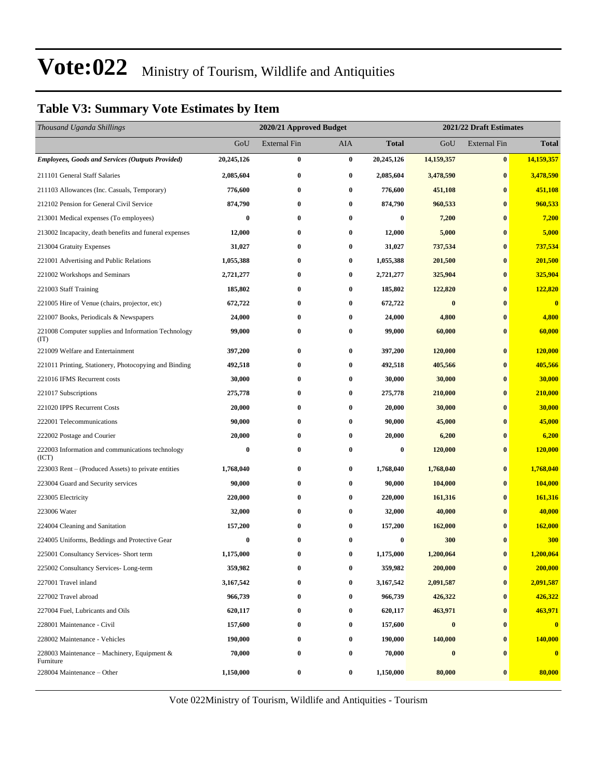### **Table V3: Summary Vote Estimates by Item**

| Thousand Uganda Shillings                                   |                  | 2021/22 Draft Estimates<br>2020/21 Approved Budget |          |                  |            |                     |              |
|-------------------------------------------------------------|------------------|----------------------------------------------------|----------|------------------|------------|---------------------|--------------|
|                                                             | GoU              | <b>External Fin</b>                                | AIA      | Total            | GoU        | <b>External Fin</b> | <b>Total</b> |
| <b>Employees, Goods and Services (Outputs Provided)</b>     | 20,245,126       | $\bf{0}$                                           | $\bf{0}$ | 20,245,126       | 14,159,357 | $\bf{0}$            | 14,159,357   |
| 211101 General Staff Salaries                               | 2,085,604        | $\bf{0}$                                           | $\bf{0}$ | 2,085,604        | 3,478,590  | $\bf{0}$            | 3,478,590    |
| 211103 Allowances (Inc. Casuals, Temporary)                 | 776,600          | $\bf{0}$                                           | 0        | 776,600          | 451,108    | $\bf{0}$            | 451,108      |
| 212102 Pension for General Civil Service                    | 874,790          | $\bf{0}$                                           | $\bf{0}$ | 874,790          | 960,533    | $\bf{0}$            | 960,533      |
| 213001 Medical expenses (To employees)                      | $\bf{0}$         | $\bf{0}$                                           | $\bf{0}$ | 0                | 7,200      | $\bf{0}$            | 7,200        |
| 213002 Incapacity, death benefits and funeral expenses      | 12,000           | $\bf{0}$                                           | $\bf{0}$ | 12,000           | 5,000      | $\bf{0}$            | 5,000        |
| 213004 Gratuity Expenses                                    | 31,027           | $\bf{0}$                                           | $\bf{0}$ | 31,027           | 737,534    | $\bf{0}$            | 737,534      |
| 221001 Advertising and Public Relations                     | 1,055,388        | $\bf{0}$                                           | 0        | 1,055,388        | 201,500    | $\bf{0}$            | 201,500      |
| 221002 Workshops and Seminars                               | 2,721,277        | $\bf{0}$                                           | $\bf{0}$ | 2,721,277        | 325,904    | $\bf{0}$            | 325,904      |
| 221003 Staff Training                                       | 185,802          | $\bf{0}$                                           | $\bf{0}$ | 185,802          | 122,820    | $\bf{0}$            | 122,820      |
| 221005 Hire of Venue (chairs, projector, etc)               | 672,722          | $\bf{0}$                                           | $\bf{0}$ | 672,722          | $\bf{0}$   | $\bf{0}$            | $\bf{0}$     |
| 221007 Books, Periodicals & Newspapers                      | 24,000           | $\bf{0}$                                           | $\bf{0}$ | 24,000           | 4,800      | $\bf{0}$            | 4,800        |
| 221008 Computer supplies and Information Technology<br>(TT) | 99,000           | $\bf{0}$                                           | 0        | 99,000           | 60,000     | $\bf{0}$            | 60,000       |
| 221009 Welfare and Entertainment                            | 397,200          | $\bf{0}$                                           | $\bf{0}$ | 397,200          | 120,000    | $\bf{0}$            | 120,000      |
| 221011 Printing, Stationery, Photocopying and Binding       | 492,518          | $\bf{0}$                                           | $\bf{0}$ | 492,518          | 405,566    | $\bf{0}$            | 405,566      |
| 221016 IFMS Recurrent costs                                 | 30,000           | $\bf{0}$                                           | 0        | 30,000           | 30,000     | $\bf{0}$            | 30,000       |
| 221017 Subscriptions                                        | 275,778          | $\bf{0}$                                           | 0        | 275,778          | 210,000    | $\bf{0}$            | 210,000      |
| 221020 IPPS Recurrent Costs                                 | 20,000           | 0                                                  | $\bf{0}$ | 20,000           | 30,000     | $\bf{0}$            | 30,000       |
| 222001 Telecommunications                                   | 90,000           | $\bf{0}$                                           | $\bf{0}$ | 90,000           | 45,000     | $\bf{0}$            | 45,000       |
| 222002 Postage and Courier                                  | 20,000           | $\bf{0}$                                           | 0        | 20,000           | 6,200      | $\bf{0}$            | 6,200        |
| 222003 Information and communications technology<br>(ICT)   | $\boldsymbol{0}$ | $\bf{0}$                                           | 0        | $\boldsymbol{0}$ | 120,000    | $\bf{0}$            | 120,000      |
| 223003 Rent – (Produced Assets) to private entities         | 1,768,040        | $\bf{0}$                                           | 0        | 1,768,040        | 1,768,040  | $\bf{0}$            | 1,768,040    |
| 223004 Guard and Security services                          | 90,000           | $\bf{0}$                                           | $\bf{0}$ | 90,000           | 104,000    | $\bf{0}$            | 104,000      |
| 223005 Electricity                                          | 220,000          | $\bf{0}$                                           | $\bf{0}$ | 220,000          | 161,316    | $\bf{0}$            | 161,316      |
| 223006 Water                                                | 32,000           | $\bf{0}$                                           | $\bf{0}$ | 32,000           | 40,000     | $\bf{0}$            | 40,000       |
| 224004 Cleaning and Sanitation                              | 157,200          | $\bf{0}$                                           | $\bf{0}$ | 157,200          | 162,000    | $\bf{0}$            | 162,000      |
| 224005 Uniforms, Beddings and Protective Gear               | $\bf{0}$         | $\bf{0}$                                           | $\bf{0}$ | $\bf{0}$         | 300        | $\mathbf{0}$        | 300          |
| 225001 Consultancy Services- Short term                     | 1,175,000        | 0                                                  | $\bf{0}$ | 1,175,000        | 1,200,064  | $\bf{0}$            | 1,200,064    |
| 225002 Consultancy Services-Long-term                       | 359,982          | $\bf{0}$                                           | $\bf{0}$ | 359,982          | 200,000    | $\bf{0}$            | 200,000      |
| 227001 Travel inland                                        | 3,167,542        | $\bf{0}$                                           | $\bf{0}$ | 3,167,542        | 2,091,587  | $\bf{0}$            | 2,091,587    |
| 227002 Travel abroad                                        | 966,739          | $\bf{0}$                                           | 0        | 966,739          | 426,322    | $\bf{0}$            | 426,322      |
| 227004 Fuel, Lubricants and Oils                            | 620,117          | $\bf{0}$                                           | 0        | 620,117          | 463,971    | $\bf{0}$            | 463,971      |
| 228001 Maintenance - Civil                                  | 157,600          | $\bf{0}$                                           | 0        | 157,600          | $\bf{0}$   | $\bf{0}$            | $\mathbf{0}$ |
| 228002 Maintenance - Vehicles                               | 190,000          | $\bf{0}$                                           | $\bf{0}$ | 190,000          | 140,000    | $\bf{0}$            | 140,000      |
| 228003 Maintenance – Machinery, Equipment $\&$<br>Furniture | 70,000           | $\bf{0}$                                           | 0        | 70,000           | $\bf{0}$   | $\bf{0}$            | $\mathbf{0}$ |
| 228004 Maintenance – Other                                  | 1,150,000        | $\bf{0}$                                           | $\bf{0}$ | 1,150,000        | 80,000     | $\bf{0}$            | 80,000       |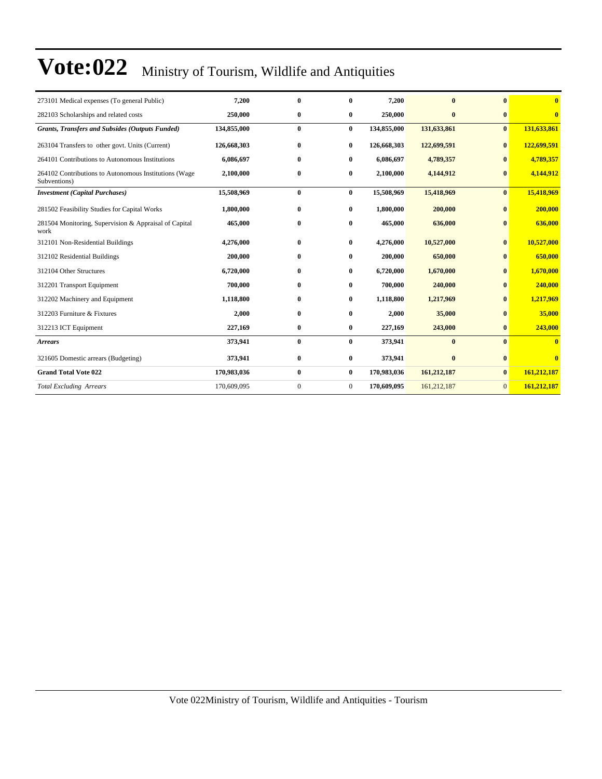| 273101 Medical expenses (To general Public)                           | 7,200       | $\bf{0}$     | $\bf{0}$       | 7,200       | $\mathbf{0}$ | $\mathbf{0}$   | $\mathbf{0}$            |
|-----------------------------------------------------------------------|-------------|--------------|----------------|-------------|--------------|----------------|-------------------------|
| 282103 Scholarships and related costs                                 | 250,000     | $\bf{0}$     | $\bf{0}$       | 250,000     | $\bf{0}$     | $\bf{0}$       | $\overline{\mathbf{0}}$ |
| <b>Grants, Transfers and Subsides (Outputs Funded)</b>                | 134,855,000 | $\bf{0}$     | $\bf{0}$       | 134,855,000 | 131,633,861  | $\bf{0}$       | 131,633,861             |
| 263104 Transfers to other govt. Units (Current)                       | 126,668,303 | 0            | $\bf{0}$       | 126,668,303 | 122,699,591  | $\bf{0}$       | 122,699,591             |
| 264101 Contributions to Autonomous Institutions                       | 6,086,697   | $\bf{0}$     | $\bf{0}$       | 6,086,697   | 4,789,357    |                | 4,789,357               |
| 264102 Contributions to Autonomous Institutions (Wage<br>Subventions) | 2,100,000   | $\bf{0}$     | $\bf{0}$       | 2,100,000   | 4,144,912    | $\bf{0}$       | 4,144,912               |
| <b>Investment</b> (Capital Purchases)                                 | 15,508,969  | $\bf{0}$     | $\bf{0}$       | 15,508,969  | 15,418,969   | $\mathbf{0}$   | 15,418,969              |
| 281502 Feasibility Studies for Capital Works                          | 1,800,000   | $\bf{0}$     | $\bf{0}$       | 1,800,000   | 200,000      | $\mathbf{0}$   | 200,000                 |
| 281504 Monitoring, Supervision & Appraisal of Capital<br>work         | 465,000     | $\bf{0}$     | $\bf{0}$       | 465,000     | 636,000      |                | 636,000                 |
| 312101 Non-Residential Buildings                                      | 4,276,000   | $\mathbf{0}$ | $\bf{0}$       | 4,276,000   | 10,527,000   | $\mathbf{0}$   | 10,527,000              |
| 312102 Residential Buildings                                          | 200,000     | $\bf{0}$     | 0              | 200,000     | 650,000      |                | 650,000                 |
| 312104 Other Structures                                               | 6,720,000   | $\bf{0}$     | $\bf{0}$       | 6,720,000   | 1,670,000    | $\mathbf{0}$   | 1,670,000               |
| 312201 Transport Equipment                                            | 700,000     | 0            | $\bf{0}$       | 700,000     | 240,000      | $\bf{0}$       | 240,000                 |
| 312202 Machinery and Equipment                                        | 1,118,800   | 0            | $\bf{0}$       | 1,118,800   | 1,217,969    | $\mathbf{0}$   | 1,217,969               |
| 312203 Furniture & Fixtures                                           | 2,000       | $\bf{0}$     | $\bf{0}$       | 2,000       | 35,000       |                | 35,000                  |
| 312213 ICT Equipment                                                  | 227,169     | $\bf{0}$     | $\bf{0}$       | 227,169     | 243,000      | $\mathbf{0}$   | 243,000                 |
| <b>Arrears</b>                                                        | 373,941     | $\bf{0}$     | $\bf{0}$       | 373,941     | $\bf{0}$     | $\mathbf{0}$   | $\overline{\mathbf{0}}$ |
| 321605 Domestic arrears (Budgeting)                                   | 373,941     | $\bf{0}$     | $\bf{0}$       | 373,941     | $\bf{0}$     | $\bf{0}$       | $\mathbf{0}$            |
| <b>Grand Total Vote 022</b>                                           | 170,983,036 | $\bf{0}$     | $\bf{0}$       | 170,983,036 | 161,212,187  | $\bf{0}$       | 161,212,187             |
| <b>Total Excluding Arrears</b>                                        | 170,609,095 | $\mathbf{0}$ | $\overline{0}$ | 170,609,095 | 161,212,187  | $\overline{0}$ | 161,212,187             |
|                                                                       |             |              |                |             |              |                |                         |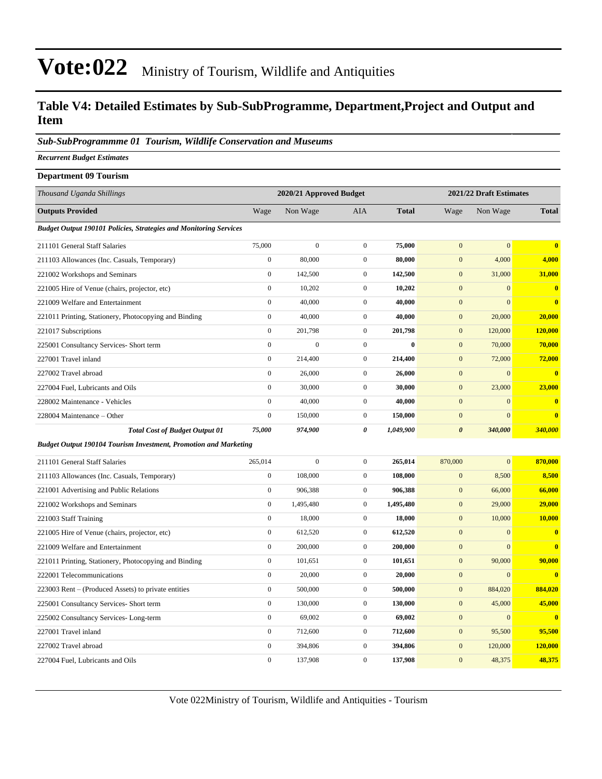#### **Table V4: Detailed Estimates by Sub-SubProgramme, Department,Project and Output and Item**

#### *Sub-SubProgrammme 01 Tourism, Wildlife Conservation and Museums*

*Recurrent Budget Estimates*

| <b>Department 09 Tourism</b>                                             |                  |                         |                  |              |                         |                |                         |  |
|--------------------------------------------------------------------------|------------------|-------------------------|------------------|--------------|-------------------------|----------------|-------------------------|--|
| Thousand Uganda Shillings                                                |                  | 2020/21 Approved Budget |                  |              | 2021/22 Draft Estimates |                |                         |  |
| <b>Outputs Provided</b>                                                  | Wage             | Non Wage                | AIA              | <b>Total</b> | Wage                    | Non Wage       | <b>Total</b>            |  |
| <b>Budget Output 190101 Policies, Strategies and Monitoring Services</b> |                  |                         |                  |              |                         |                |                         |  |
| 211101 General Staff Salaries                                            | 75,000           | $\boldsymbol{0}$        | $\boldsymbol{0}$ | 75,000       | $\mathbf{0}$            | $\mathbf{0}$   | $\bf{0}$                |  |
| 211103 Allowances (Inc. Casuals, Temporary)                              | $\boldsymbol{0}$ | 80,000                  | $\boldsymbol{0}$ | 80,000       | $\mathbf{0}$            | 4,000          | 4,000                   |  |
| 221002 Workshops and Seminars                                            | $\boldsymbol{0}$ | 142,500                 | $\boldsymbol{0}$ | 142,500      | $\mathbf{0}$            | 31,000         | 31,000                  |  |
| 221005 Hire of Venue (chairs, projector, etc)                            | $\mathbf{0}$     | 10,202                  | $\mathbf{0}$     | 10,202       | $\mathbf{0}$            | $\mathbf{0}$   | $\bf{0}$                |  |
| 221009 Welfare and Entertainment                                         | $\boldsymbol{0}$ | 40,000                  | $\overline{0}$   | 40,000       | $\mathbf{0}$            | $\mathbf{0}$   | $\bf{0}$                |  |
| 221011 Printing, Stationery, Photocopying and Binding                    | $\boldsymbol{0}$ | 40,000                  | $\boldsymbol{0}$ | 40,000       | $\mathbf{0}$            | 20,000         | 20,000                  |  |
| 221017 Subscriptions                                                     | $\boldsymbol{0}$ | 201,798                 | $\overline{0}$   | 201,798      | $\mathbf{0}$            | 120,000        | 120,000                 |  |
| 225001 Consultancy Services- Short term                                  | $\boldsymbol{0}$ | $\boldsymbol{0}$        | $\boldsymbol{0}$ | $\bf{0}$     | $\mathbf{0}$            | 70,000         | 70,000                  |  |
| 227001 Travel inland                                                     | $\boldsymbol{0}$ | 214,400                 | $\overline{0}$   | 214,400      | $\mathbf{0}$            | 72,000         | 72,000                  |  |
| 227002 Travel abroad                                                     | $\boldsymbol{0}$ | 26,000                  | $\boldsymbol{0}$ | 26,000       | $\mathbf{0}$            | $\overline{0}$ | $\bf{0}$                |  |
| 227004 Fuel, Lubricants and Oils                                         | $\boldsymbol{0}$ | 30,000                  | $\overline{0}$   | 30,000       | $\mathbf{0}$            | 23,000         | 23,000                  |  |
| 228002 Maintenance - Vehicles                                            | $\boldsymbol{0}$ | 40,000                  | $\overline{0}$   | 40,000       | $\mathbf{0}$            | $\mathbf{0}$   | $\bf{0}$                |  |
| 228004 Maintenance – Other                                               | $\boldsymbol{0}$ | 150,000                 | $\overline{0}$   | 150,000      | $\mathbf{0}$            | $\mathbf{0}$   | $\bf{0}$                |  |
| <b>Total Cost of Budget Output 01</b>                                    | 75,000           | 974,900                 | $\theta$         | 1,049,900    | $\boldsymbol{\theta}$   | 340,000        | 340,000                 |  |
| Budget Output 190104 Tourism Investment, Promotion and Marketing         |                  |                         |                  |              |                         |                |                         |  |
| 211101 General Staff Salaries                                            | 265,014          | $\boldsymbol{0}$        | $\overline{0}$   | 265,014      | 870,000                 | $\mathbf{0}$   | 870,000                 |  |
| 211103 Allowances (Inc. Casuals, Temporary)                              | $\boldsymbol{0}$ | 108,000                 | $\boldsymbol{0}$ | 108,000      | $\mathbf{0}$            | 8,500          | 8,500                   |  |
| 221001 Advertising and Public Relations                                  | $\boldsymbol{0}$ | 906,388                 | $\boldsymbol{0}$ | 906,388      | $\boldsymbol{0}$        | 66,000         | 66,000                  |  |
| 221002 Workshops and Seminars                                            | $\boldsymbol{0}$ | 1,495,480               | $\boldsymbol{0}$ | 1,495,480    | $\mathbf{0}$            | 29,000         | 29,000                  |  |
| 221003 Staff Training                                                    | $\boldsymbol{0}$ | 18,000                  | $\boldsymbol{0}$ | 18,000       | $\mathbf{0}$            | 10,000         | 10,000                  |  |
| 221005 Hire of Venue (chairs, projector, etc)                            | $\boldsymbol{0}$ | 612,520                 | $\mathbf{0}$     | 612,520      | $\mathbf{0}$            | $\mathbf{0}$   | $\bf{0}$                |  |
| 221009 Welfare and Entertainment                                         | $\boldsymbol{0}$ | 200,000                 | $\overline{0}$   | 200,000      | $\mathbf{0}$            | $\mathbf{0}$   | $\bf{0}$                |  |
| 221011 Printing, Stationery, Photocopying and Binding                    | $\boldsymbol{0}$ | 101,651                 | $\boldsymbol{0}$ | 101,651      | $\mathbf{0}$            | 90,000         | 90,000                  |  |
| 222001 Telecommunications                                                | $\mathbf{0}$     | 20,000                  | $\overline{0}$   | 20,000       | $\mathbf{0}$            | $\mathbf{0}$   | $\overline{\mathbf{0}}$ |  |
| 223003 Rent – (Produced Assets) to private entities                      | $\boldsymbol{0}$ | 500,000                 | $\boldsymbol{0}$ | 500,000      | $\mathbf{0}$            | 884,020        | 884,020                 |  |
| 225001 Consultancy Services- Short term                                  | $\boldsymbol{0}$ | 130,000                 | $\overline{0}$   | 130,000      | $\mathbf{0}$            | 45,000         | 45,000                  |  |
| 225002 Consultancy Services-Long-term                                    | $\boldsymbol{0}$ | 69,002                  | $\mathbf{0}$     | 69,002       | $\mathbf{0}$            | $\overline{0}$ | $\bf{0}$                |  |
| 227001 Travel inland                                                     | $\boldsymbol{0}$ | 712,600                 | $\overline{0}$   | 712,600      | $\mathbf{0}$            | 95,500         | 95,500                  |  |
| 227002 Travel abroad                                                     | $\boldsymbol{0}$ | 394,806                 | $\boldsymbol{0}$ | 394,806      | $\mathbf{0}$            | 120,000        | 120,000                 |  |
| 227004 Fuel, Lubricants and Oils                                         | $\boldsymbol{0}$ | 137,908                 | $\overline{0}$   | 137,908      | $\overline{0}$          | 48,375         | 48,375                  |  |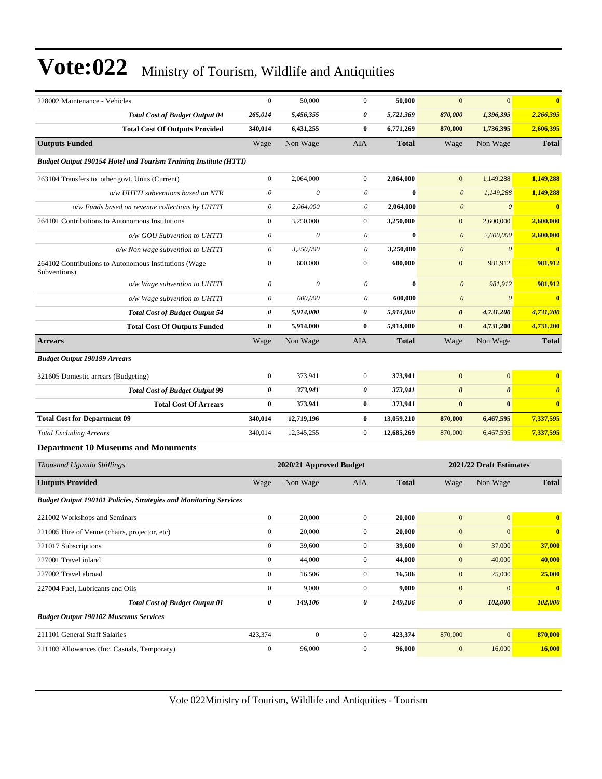| 228002 Maintenance - Vehicles                                            | $\boldsymbol{0}$      | 50,000                  | $\boldsymbol{0}$      | 50,000       | $\mathbf{0}$          | $\mathbf{0}$            | $\bf{0}$              |
|--------------------------------------------------------------------------|-----------------------|-------------------------|-----------------------|--------------|-----------------------|-------------------------|-----------------------|
| <b>Total Cost of Budget Output 04</b>                                    | 265,014               | 5,456,355               | 0                     | 5,721,369    | 870,000               | 1,396,395               | 2,266,395             |
| <b>Total Cost Of Outputs Provided</b>                                    | 340,014               | 6,431,255               | $\bf{0}$              | 6,771,269    | 870,000               | 1,736,395               | 2,606,395             |
| <b>Outputs Funded</b>                                                    | Wage                  | Non Wage                | AIA                   | <b>Total</b> | Wage                  | Non Wage                | <b>Total</b>          |
| <b>Budget Output 190154 Hotel and Tourism Training Institute (HTTI)</b>  |                       |                         |                       |              |                       |                         |                       |
| 263104 Transfers to other govt. Units (Current)                          | $\boldsymbol{0}$      | 2,064,000               | $\mathbf{0}$          | 2,064,000    | $\mathbf{0}$          | 1,149,288               | 1,149,288             |
| o/w UHTTI subventions based on NTR                                       | $\theta$              | 0                       | $\theta$              | $\bf{0}$     | $\boldsymbol{\theta}$ | 1,149,288               | 1,149,288             |
| o/w Funds based on revenue collections by UHTTI                          | $\theta$              | 2,064,000               | 0                     | 2,064,000    | $\boldsymbol{\theta}$ | $\theta$                | $\mathbf{0}$          |
| 264101 Contributions to Autonomous Institutions                          | $\boldsymbol{0}$      | 3,250,000               | $\mathbf{0}$          | 3,250,000    | $\mathbf{0}$          | 2,600,000               | 2,600,000             |
| o/w GOU Subvention to UHTTI                                              | $\boldsymbol{\theta}$ | 0                       | $\theta$              | $\bf{0}$     | $\boldsymbol{\theta}$ | 2,600,000               | 2,600,000             |
| o/w Non wage subvention to UHTTI                                         | $\theta$              | 3,250,000               | $\boldsymbol{\theta}$ | 3,250,000    | $\boldsymbol{\theta}$ | $\boldsymbol{\theta}$   | $\bf{0}$              |
| 264102 Contributions to Autonomous Institutions (Wage<br>Subventions)    | $\boldsymbol{0}$      | 600,000                 | $\boldsymbol{0}$      | 600,000      | $\mathbf{0}$          | 981,912                 | 981,912               |
| o/w Wage subvention to UHTTI                                             | $\boldsymbol{\theta}$ | 0                       | $\boldsymbol{\theta}$ | $\bf{0}$     | $\boldsymbol{\theta}$ | 981,912                 | 981,912               |
| o/w Wage subvention to UHTTI                                             | $\theta$              | 600,000                 | $\theta$              | 600,000      | $\boldsymbol{\theta}$ | $\theta$                | $\bf{0}$              |
| <b>Total Cost of Budget Output 54</b>                                    | 0                     | 5,914,000               | 0                     | 5,914,000    | $\boldsymbol{\theta}$ | 4,731,200               | 4,731,200             |
| <b>Total Cost Of Outputs Funded</b>                                      | $\bf{0}$              | 5,914,000               | $\bf{0}$              | 5,914,000    | $\bf{0}$              | 4,731,200               | 4,731,200             |
| <b>Arrears</b>                                                           | Wage                  | Non Wage                | AIA                   | <b>Total</b> | Wage                  | Non Wage                | <b>Total</b>          |
| <b>Budget Output 190199 Arrears</b>                                      |                       |                         |                       |              |                       |                         |                       |
| 321605 Domestic arrears (Budgeting)                                      | $\boldsymbol{0}$      | 373,941                 | $\mathbf{0}$          | 373,941      | $\boldsymbol{0}$      | $\boldsymbol{0}$        | $\bf{0}$              |
| <b>Total Cost of Budget Output 99</b>                                    | 0                     | 373,941                 | 0                     | 373,941      | $\boldsymbol{\theta}$ | $\boldsymbol{\theta}$   | $\boldsymbol{\theta}$ |
| <b>Total Cost Of Arrears</b>                                             | $\bf{0}$              | 373,941                 | $\bf{0}$              | 373,941      | $\bf{0}$              | $\bf{0}$                | $\bf{0}$              |
| <b>Total Cost for Department 09</b>                                      | 340,014               | 12,719,196              | $\bf{0}$              | 13,059,210   | 870,000               | 6,467,595               | 7,337,595             |
| <b>Total Excluding Arrears</b>                                           | 340,014               | 12,345,255              | $\mathbf{0}$          | 12,685,269   | 870,000               | 6,467,595               | 7,337,595             |
| <b>Department 10 Museums and Monuments</b>                               |                       |                         |                       |              |                       |                         |                       |
| Thousand Uganda Shillings                                                |                       | 2020/21 Approved Budget |                       |              |                       | 2021/22 Draft Estimates |                       |
| <b>Outputs Provided</b>                                                  | Wage                  | Non Wage                | AIA                   | <b>Total</b> | Wage                  | Non Wage                | <b>Total</b>          |
| <b>Budget Output 190101 Policies, Strategies and Monitoring Services</b> |                       |                         |                       |              |                       |                         |                       |
| 221002 Workshops and Seminars                                            | $\boldsymbol{0}$      | 20,000                  | $\mathbf{0}$          | 20,000       | $\mathbf{0}$          | $\mathbf{0}$            | $\bf{0}$              |
| 221005 Hire of Venue (chairs, projector, etc)                            | $\boldsymbol{0}$      | 20,000                  | $\boldsymbol{0}$      | 20,000       | $\mathbf{0}$          | $\mathbf{0}$            |                       |
| 221017 Subscriptions                                                     | $\boldsymbol{0}$      | 39,600                  | $\boldsymbol{0}$      | 39,600       | $\mathbf{0}$          | 37,000                  | 37,000                |
| 227001 Travel inland                                                     | $\boldsymbol{0}$      | 44,000                  | $\boldsymbol{0}$      | 44,000       | $\boldsymbol{0}$      | 40,000                  | 40,000                |
| 227002 Travel abroad                                                     | $\mathbf{0}$          | 16,506                  | $\boldsymbol{0}$      | 16,506       | $\boldsymbol{0}$      | 25,000                  | 25,000                |
| 227004 Fuel, Lubricants and Oils                                         | $\boldsymbol{0}$      | 9,000                   | $\boldsymbol{0}$      | 9,000        | $\mathbf{0}$          | $\mathbf{0}$            | $\bf{0}$              |
| <b>Total Cost of Budget Output 01</b>                                    | 0                     | 149,106                 | 0                     | 149,106      | $\boldsymbol{\theta}$ | 102,000                 | 102,000               |
| <b>Budget Output 190102 Museums Services</b>                             |                       |                         |                       |              |                       |                         |                       |
| 211101 General Staff Salaries                                            | 423,374               | $\mathbf{0}$            | $\boldsymbol{0}$      | 423,374      | 870,000               | $\boldsymbol{0}$        | 870,000               |
| 211103 Allowances (Inc. Casuals, Temporary)                              | $\boldsymbol{0}$      | 96,000                  | $\boldsymbol{0}$      | 96,000       | $\boldsymbol{0}$      | 16,000                  | <b>16,000</b>         |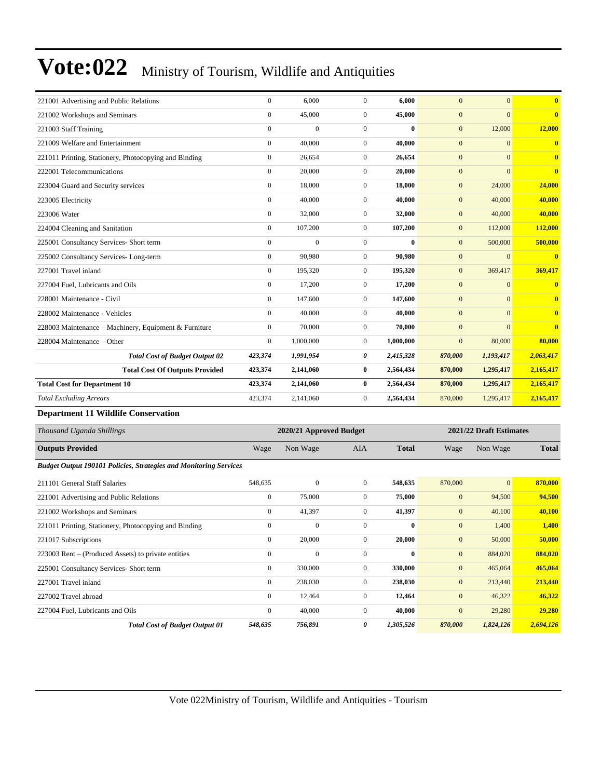| 221001 Advertising and Public Relations               | $\overline{0}$ | 6.000        | $\Omega$       | 6.000        | $\mathbf{0}$   | $\mathbf{0}$ | $\overline{\mathbf{0}}$ |
|-------------------------------------------------------|----------------|--------------|----------------|--------------|----------------|--------------|-------------------------|
| 221002 Workshops and Seminars                         | $\overline{0}$ | 45,000       | $\overline{0}$ | 45,000       | $\overline{0}$ | $\mathbf{0}$ | $\overline{\mathbf{0}}$ |
| 221003 Staff Training                                 | $\overline{0}$ | $\mathbf{0}$ | $\overline{0}$ | $\mathbf{0}$ | $\mathbf{0}$   | 12,000       | 12,000                  |
| 221009 Welfare and Entertainment                      | $\overline{0}$ | 40,000       | $\overline{0}$ | 40.000       | $\mathbf{0}$   | $\mathbf{0}$ | $\overline{\mathbf{0}}$ |
| 221011 Printing, Stationery, Photocopying and Binding | $\overline{0}$ | 26,654       | $\mathbf{0}$   | 26,654       | $\mathbf{0}$   | $\mathbf{0}$ | $\overline{\mathbf{0}}$ |
| 222001 Telecommunications                             | $\overline{0}$ | 20,000       | $\Omega$       | 20,000       | $\mathbf{0}$   | $\Omega$     | $\mathbf{0}$            |
| 223004 Guard and Security services                    | $\overline{0}$ | 18,000       | $\overline{0}$ | 18,000       | $\mathbf{0}$   | 24,000       | 24,000                  |
| 223005 Electricity                                    | $\overline{0}$ | 40,000       | $\overline{0}$ | 40,000       | $\mathbf{0}$   | 40,000       | 40,000                  |
| 223006 Water                                          | $\overline{0}$ | 32,000       | $\overline{0}$ | 32,000       | $\mathbf{0}$   | 40,000       | 40,000                  |
| 224004 Cleaning and Sanitation                        | $\Omega$       | 107,200      | $\Omega$       | 107,200      | $\mathbf{0}$   | 112,000      | 112,000                 |
| 225001 Consultancy Services- Short term               | $\overline{0}$ | $\mathbf{0}$ | $\mathbf{0}$   | $\bf{0}$     | $\mathbf{0}$   | 500,000      | 500,000                 |
| 225002 Consultancy Services-Long-term                 | $\overline{0}$ | 90.980       | $\overline{0}$ | 90.980       | $\mathbf{0}$   | $\mathbf{0}$ | $\overline{\mathbf{0}}$ |
| 227001 Travel inland                                  | $\Omega$       | 195,320      | $\Omega$       | 195,320      | $\mathbf{0}$   | 369,417      | 369,417                 |
| 227004 Fuel, Lubricants and Oils                      | $\overline{0}$ | 17,200       | $\overline{0}$ | 17,200       | $\mathbf{0}$   | $\mathbf{0}$ | $\bf{0}$                |
| 228001 Maintenance - Civil                            | $\overline{0}$ | 147,600      | $\overline{0}$ | 147,600      | $\mathbf{0}$   | $\mathbf{0}$ | $\overline{\mathbf{0}}$ |
| 228002 Maintenance - Vehicles                         | $\Omega$       | 40,000       | $\Omega$       | 40,000       | $\mathbf{0}$   | $\Omega$     | $\mathbf{0}$            |
| 228003 Maintenance – Machinery, Equipment & Furniture | $\overline{0}$ | 70,000       | $\overline{0}$ | 70,000       | $\mathbf{0}$   | $\Omega$     | $\mathbf{0}$            |
| 228004 Maintenance – Other                            | $\overline{0}$ | 1,000,000    | $\overline{0}$ | 1,000,000    | $\mathbf{0}$   | 80,000       | 80,000                  |
| <b>Total Cost of Budget Output 02</b>                 | 423,374        | 1,991,954    | 0              | 2,415,328    | 870,000        | 1,193,417    | 2,063,417               |
| <b>Total Cost Of Outputs Provided</b>                 | 423,374        | 2,141,060    | $\bf{0}$       | 2,564,434    | 870,000        | 1,295,417    | 2,165,417               |
| <b>Total Cost for Department 10</b>                   | 423,374        | 2,141,060    | $\bf{0}$       | 2,564,434    | 870,000        | 1,295,417    | 2,165,417               |
| <b>Total Excluding Arrears</b>                        | 423,374        | 2,141,060    | $\mathbf{0}$   | 2,564,434    | 870,000        | 1,295,417    | 2,165,417               |

#### **Department 11 Wildlife Conservation**

| Thousand Uganda Shillings                                                | 2020/21 Approved Budget |              |                |              |              | 2021/22 Draft Estimates |              |  |
|--------------------------------------------------------------------------|-------------------------|--------------|----------------|--------------|--------------|-------------------------|--------------|--|
| <b>Outputs Provided</b>                                                  | Wage                    | Non Wage     | <b>AIA</b>     | <b>Total</b> | Wage         | Non Wage                | <b>Total</b> |  |
| <b>Budget Output 190101 Policies, Strategies and Monitoring Services</b> |                         |              |                |              |              |                         |              |  |
| 211101 General Staff Salaries                                            | 548,635                 | $\mathbf{0}$ | $\overline{0}$ | 548,635      | 870,000      | $\mathbf{0}$            | 870,000      |  |
| 221001 Advertising and Public Relations                                  | $\mathbf{0}$            | 75,000       | $\overline{0}$ | 75,000       | $\mathbf{0}$ | 94,500                  | 94,500       |  |
| 221002 Workshops and Seminars                                            | $\mathbf{0}$            | 41,397       | $\overline{0}$ | 41,397       | $\mathbf{0}$ | 40,100                  | 40,100       |  |
| 221011 Printing, Stationery, Photocopying and Binding                    | $\mathbf{0}$            | $\mathbf{0}$ | $\Omega$       | $\mathbf{0}$ | $\mathbf{0}$ | 1,400                   | 1,400        |  |
| 221017 Subscriptions                                                     | $\mathbf{0}$            | 20,000       | $\overline{0}$ | 20,000       | $\mathbf{0}$ | 50,000                  | 50,000       |  |
| 223003 Rent – (Produced Assets) to private entities                      | $\mathbf{0}$            | $\mathbf{0}$ | $\Omega$       | $\bf{0}$     | $\mathbf{0}$ | 884,020                 | 884,020      |  |
| 225001 Consultancy Services- Short term                                  | $\mathbf{0}$            | 330,000      | $\overline{0}$ | 330,000      | $\mathbf{0}$ | 465,064                 | 465,064      |  |
| 227001 Travel inland                                                     | $\mathbf{0}$            | 238,030      | $\overline{0}$ | 238,030      | $\mathbf{0}$ | 213,440                 | 213,440      |  |
| 227002 Travel abroad                                                     | $\mathbf{0}$            | 12,464       | $\overline{0}$ | 12,464       | $\mathbf{0}$ | 46,322                  | 46,322       |  |
| 227004 Fuel, Lubricants and Oils                                         | $\mathbf{0}$            | 40,000       | $\overline{0}$ | 40,000       | $\mathbf{0}$ | 29,280                  | 29,280       |  |
| <b>Total Cost of Budget Output 01</b>                                    | 548,635                 | 756,891      | 0              | 1,305,526    | 870,000      | 1,824,126               | 2,694,126    |  |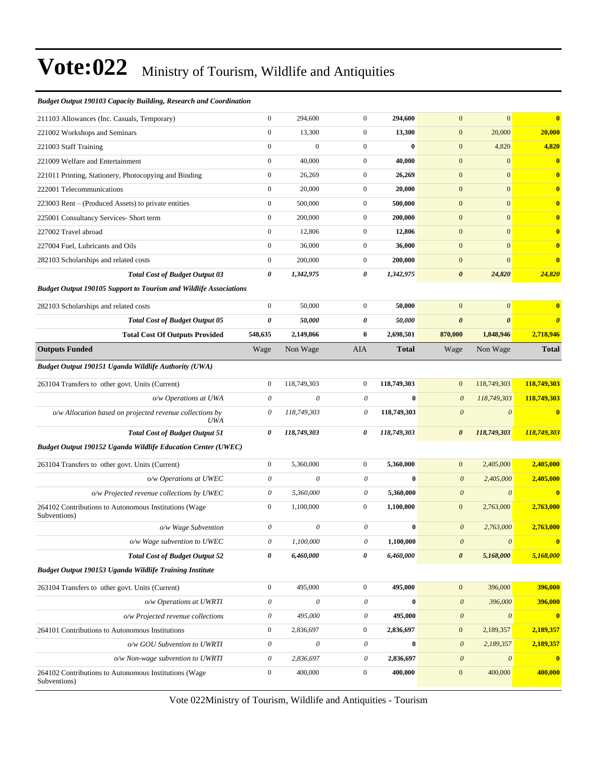#### *Budget Output 190103 Capacity Building, Research and Coordination*

| 211103 Allowances (Inc. Casuals, Temporary)                              | $\boldsymbol{0}$          | 294,600                   | $\mathbf{0}$              | 294,600          | $\mathbf{0}$          | $\overline{0}$        | $\overline{\mathbf{0}}$ |
|--------------------------------------------------------------------------|---------------------------|---------------------------|---------------------------|------------------|-----------------------|-----------------------|-------------------------|
| 221002 Workshops and Seminars                                            | $\boldsymbol{0}$          | 13,300                    | $\mathbf{0}$              | 13,300           | $\boldsymbol{0}$      | 20,000                | 20,000                  |
| 221003 Staff Training                                                    | $\boldsymbol{0}$          | $\boldsymbol{0}$          | $\mathbf{0}$              | $\bf{0}$         | $\mathbf{0}$          | 4,820                 | 4,820                   |
| 221009 Welfare and Entertainment                                         | $\mathbf{0}$              | 40,000                    | $\mathbf{0}$              | 40,000           | $\mathbf{0}$          | $\mathbf{0}$          | $\bf{0}$                |
| 221011 Printing, Stationery, Photocopying and Binding                    | $\boldsymbol{0}$          | 26,269                    | $\mathbf{0}$              | 26,269           | $\mathbf{0}$          | $\overline{0}$        | $\overline{\mathbf{0}}$ |
| 222001 Telecommunications                                                | $\boldsymbol{0}$          | 20,000                    | $\mathbf{0}$              | 20,000           | $\mathbf{0}$          | $\overline{0}$        | $\bf{0}$                |
| 223003 Rent – (Produced Assets) to private entities                      | $\boldsymbol{0}$          | 500,000                   | $\mathbf{0}$              | 500,000          | $\boldsymbol{0}$      | $\mathbf{0}$          | $\bf{0}$                |
| 225001 Consultancy Services- Short term                                  | $\boldsymbol{0}$          | 200,000                   | $\mathbf{0}$              | 200,000          | $\boldsymbol{0}$      | $\overline{0}$        | $\overline{\mathbf{0}}$ |
| 227002 Travel abroad                                                     | $\boldsymbol{0}$          | 12,806                    | $\mathbf{0}$              | 12,806           | $\overline{0}$        | $\overline{0}$        | $\bf{0}$                |
| 227004 Fuel, Lubricants and Oils                                         | $\boldsymbol{0}$          | 36,000                    | $\mathbf{0}$              | 36,000           | $\boldsymbol{0}$      | $\overline{0}$        | $\bf{0}$                |
| 282103 Scholarships and related costs                                    | $\boldsymbol{0}$          | 200,000                   | $\mathbf{0}$              | 200,000          | $\mathbf{0}$          | $\overline{0}$        | $\bf{0}$                |
| <b>Total Cost of Budget Output 03</b>                                    | 0                         | 1,342,975                 | 0                         | 1,342,975        | $\boldsymbol{\theta}$ | 24,820                | 24,820                  |
| <b>Budget Output 190105 Support to Tourism and Wildlife Associations</b> |                           |                           |                           |                  |                       |                       |                         |
| 282103 Scholarships and related costs                                    | $\boldsymbol{0}$          | 50,000                    | $\mathbf{0}$              | 50,000           | $\mathbf{0}$          | $\overline{0}$        | $\overline{\mathbf{0}}$ |
| <b>Total Cost of Budget Output 05</b>                                    | 0                         | 50,000                    | 0                         | 50,000           | $\boldsymbol{\theta}$ | $\boldsymbol{\theta}$ | $\boldsymbol{\theta}$   |
| <b>Total Cost Of Outputs Provided</b>                                    | 548,635                   | 2,149,866                 | $\bf{0}$                  | 2,698,501        | 870,000               | 1,848,946             | 2,718,946               |
| <b>Outputs Funded</b>                                                    | Wage                      | Non Wage                  | AIA                       | <b>Total</b>     | Wage                  | Non Wage              | <b>Total</b>            |
| Budget Output 190151 Uganda Wildlife Authority (UWA)                     |                           |                           |                           |                  |                       |                       |                         |
| 263104 Transfers to other govt. Units (Current)                          | $\boldsymbol{0}$          | 118,749,303               | $\mathbf{0}$              | 118,749,303      | $\mathbf{0}$          | 118,749,303           | 118,749,303             |
| o/w Operations at UWA                                                    | $\theta$                  | $\theta$                  | 0                         | $\bf{0}$         | $\boldsymbol{0}$      | 118,749,303           | 118,749,303             |
| o/w Allocation based on projected revenue collections by<br>UWA          | 0                         | 118,749,303               | 0                         | 118,749,303      | $\boldsymbol{0}$      | $\theta$              | $\bf{0}$                |
| <b>Total Cost of Budget Output 51</b>                                    | 0                         | 118,749,303               | 0                         | 118,749,303      | 0                     | 118,749,303           | 118,749,303             |
| Budget Output 190152 Uganda Wildlife Education Center (UWEC)             |                           |                           |                           |                  |                       |                       |                         |
| 263104 Transfers to other govt. Units (Current)                          | $\boldsymbol{0}$          | 5,360,000                 | $\mathbf{0}$              | 5,360,000        | $\overline{0}$        | 2,405,000             | 2,405,000               |
| o/w Operations at UWEC                                                   | $\theta$                  | $\theta$                  | 0                         | $\bf{0}$         | $\boldsymbol{0}$      | 2,405,000             | 2,405,000               |
| o/w Projected revenue collections by UWEC                                | $\theta$                  | 5,360,000                 | 0                         | 5,360,000        | $\boldsymbol{\theta}$ | $\theta$              | $\overline{0}$          |
| 264102 Contributions to Autonomous Institutions (Wage<br>Subventions)    | $\mathbf{0}$              | 1,100,000                 | $\mathbf{0}$              | 1,100,000        | $\mathbf{0}$          | 2,763,000             | 2,763,000               |
| o/w Wage Subvention                                                      | 0                         | $\theta$                  | 0                         | $\bf{0}$         | $\boldsymbol{0}$      | 2,763,000             | 2,763,000               |
| o/w Wage subvention to UWEC                                              | $\boldsymbol{\mathit{0}}$ | 1.100.000                 | 0                         | 1,100,000        | $\boldsymbol{\theta}$ | $\boldsymbol{\theta}$ | $\mathbf{0}$            |
| <b>Total Cost of Budget Output 52</b>                                    | $\pmb{\theta}$            | 6,460,000                 | 0                         | 6,460,000        | $\boldsymbol{\theta}$ | 5,168,000             | 5,168,000               |
| Budget Output 190153 Uganda Wildlife Training Institute                  |                           |                           |                           |                  |                       |                       |                         |
| 263104 Transfers to other govt. Units (Current)                          | $\boldsymbol{0}$          | 495,000                   | $\boldsymbol{0}$          | 495,000          | $\mathbf{0}$          | 396,000               | 396,000                 |
| o/w Operations at UWRTI                                                  | $\boldsymbol{\mathit{0}}$ | $\boldsymbol{\mathit{0}}$ | $\boldsymbol{\mathit{0}}$ | $\boldsymbol{0}$ | $\boldsymbol{\theta}$ | 396,000               | 396,000                 |
| o/w Projected revenue collections                                        | $\boldsymbol{\theta}$     | 495,000                   | 0                         | 495,000          | $\boldsymbol{\theta}$ | $\boldsymbol{\theta}$ | $\mathbf{0}$            |
| 264101 Contributions to Autonomous Institutions                          | $\boldsymbol{0}$          | 2,836,697                 | $\boldsymbol{0}$          | 2,836,697        | $\boldsymbol{0}$      | 2,189,357             | 2,189,357               |
| o/w GOU Subvention to UWRTI                                              | $\theta$                  | $\boldsymbol{\mathit{0}}$ | 0                         | $\boldsymbol{0}$ | $\boldsymbol{\theta}$ | 2,189,357             | 2,189,357               |
| o/w Non-wage subvention to UWRTI                                         | $\theta$                  | 2,836,697                 | $\boldsymbol{\mathit{0}}$ | 2,836,697        | $\boldsymbol{\theta}$ | $\boldsymbol{\theta}$ | $\mathbf{0}$            |
| 264102 Contributions to Autonomous Institutions (Wage<br>Subventions)    | $\boldsymbol{0}$          | 400,000                   | $\boldsymbol{0}$          | 400,000          | $\boldsymbol{0}$      | 400,000               | 400,000                 |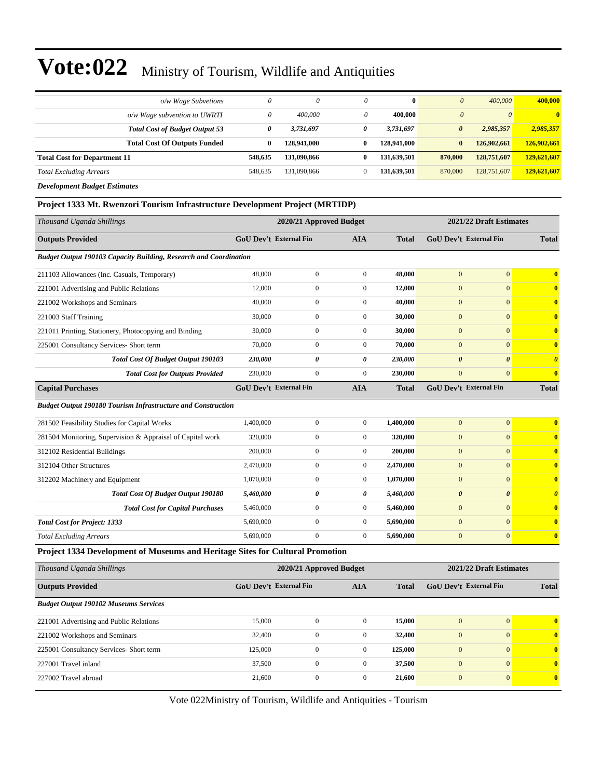|                                     | o/w Wage Subvetions                   | $\theta$ | 0           | $\theta$ | $\bf{0}$    | $\theta$              | 400,000     | 400,000        |
|-------------------------------------|---------------------------------------|----------|-------------|----------|-------------|-----------------------|-------------|----------------|
|                                     | o/w Wage subvention to UWRTI          | 0        | 400,000     |          | 400,000     | $\theta$              | $\theta$    | $\overline{0}$ |
|                                     | <b>Total Cost of Budget Output 53</b> | 0        | 3,731,697   | 0        | 3,731,697   | $\boldsymbol{\theta}$ | 2,985,357   | 2,985,357      |
|                                     | <b>Total Cost Of Outputs Funded</b>   | 0        | 128,941,000 | 0        | 128,941,000 | $\bf{0}$              | 126,902,661 | 126,902,661    |
| <b>Total Cost for Department 11</b> |                                       | 548,635  | 131,090,866 | 0        | 131,639,501 | 870,000               | 128,751,607 | 129,621,607    |
| <b>Total Excluding Arrears</b>      |                                       | 548.635  | 131,090,866 | $\Omega$ | 131,639.501 | 870,000               | 128,751,607 | 129,621,607    |
|                                     |                                       |          |             |          |             |                       |             |                |

*Development Budget Estimates*

#### **Project 1333 Mt. Rwenzori Tourism Infrastructure Development Project (MRTIDP)**

| Thousand Uganda Shillings                                                     |           | 2020/21 Approved Budget       |                  |              |                       | 2021/22 Draft Estimates       |                       |  |
|-------------------------------------------------------------------------------|-----------|-------------------------------|------------------|--------------|-----------------------|-------------------------------|-----------------------|--|
| <b>Outputs Provided</b>                                                       |           | <b>GoU Dev't External Fin</b> | AIA              | <b>Total</b> |                       | <b>GoU Dev't External Fin</b> | <b>Total</b>          |  |
| Budget Output 190103 Capacity Building, Research and Coordination             |           |                               |                  |              |                       |                               |                       |  |
| 211103 Allowances (Inc. Casuals, Temporary)                                   | 48,000    | $\boldsymbol{0}$              | $\boldsymbol{0}$ | 48,000       | $\mathbf{0}$          | $\mathbf{0}$                  | $\bf{0}$              |  |
| 221001 Advertising and Public Relations                                       | 12,000    | $\boldsymbol{0}$              | $\boldsymbol{0}$ | 12,000       | $\boldsymbol{0}$      | $\mathbf{0}$                  | $\bf{0}$              |  |
| 221002 Workshops and Seminars                                                 | 40,000    | $\boldsymbol{0}$              | $\boldsymbol{0}$ | 40,000       | $\mathbf{0}$          | $\overline{0}$                | $\bf{0}$              |  |
| 221003 Staff Training                                                         | 30,000    | $\boldsymbol{0}$              | $\boldsymbol{0}$ | 30,000       | $\mathbf{0}$          | $\overline{0}$                | $\bf{0}$              |  |
| 221011 Printing, Stationery, Photocopying and Binding                         | 30,000    | $\boldsymbol{0}$              | $\boldsymbol{0}$ | 30,000       | $\mathbf{0}$          | $\overline{0}$                | $\bf{0}$              |  |
| 225001 Consultancy Services- Short term                                       | 70,000    | $\boldsymbol{0}$              | $\boldsymbol{0}$ | 70,000       | $\mathbf{0}$          | $\mathbf{0}$                  | $\bf{0}$              |  |
| Total Cost Of Budget Output 190103                                            | 230,000   | 0                             | 0                | 230,000      | $\boldsymbol{\theta}$ | $\boldsymbol{\theta}$         | $\boldsymbol{\theta}$ |  |
| <b>Total Cost for Outputs Provided</b>                                        | 230,000   | $\boldsymbol{0}$              | $\boldsymbol{0}$ | 230,000      | $\boldsymbol{0}$      | $\overline{0}$                | $\bf{0}$              |  |
| <b>Capital Purchases</b>                                                      |           | <b>GoU Dev't External Fin</b> | AIA              | <b>Total</b> |                       | GoU Dev't External Fin        | <b>Total</b>          |  |
| <b>Budget Output 190180 Tourism Infrastructure and Construction</b>           |           |                               |                  |              |                       |                               |                       |  |
| 281502 Feasibility Studies for Capital Works                                  | 1,400,000 | $\boldsymbol{0}$              | $\boldsymbol{0}$ | 1,400,000    | $\mathbf{0}$          | $\overline{0}$                | $\bf{0}$              |  |
| 281504 Monitoring, Supervision & Appraisal of Capital work                    | 320,000   | $\boldsymbol{0}$              | $\boldsymbol{0}$ | 320,000      | $\mathbf{0}$          | $\overline{0}$                | $\bf{0}$              |  |
| 312102 Residential Buildings                                                  | 200,000   | $\boldsymbol{0}$              | $\boldsymbol{0}$ | 200,000      | $\mathbf{0}$          | $\mathbf{0}$                  | $\bf{0}$              |  |
| 312104 Other Structures                                                       | 2,470,000 | $\boldsymbol{0}$              | $\boldsymbol{0}$ | 2,470,000    | $\boldsymbol{0}$      | $\mathbf{0}$                  | $\bf{0}$              |  |
| 312202 Machinery and Equipment                                                | 1,070,000 | $\boldsymbol{0}$              | $\boldsymbol{0}$ | 1,070,000    | $\boldsymbol{0}$      | $\overline{0}$                | $\bf{0}$              |  |
| <b>Total Cost Of Budget Output 190180</b>                                     | 5,460,000 | 0                             | 0                | 5,460,000    | $\boldsymbol{\theta}$ | 0                             | $\boldsymbol{\theta}$ |  |
| <b>Total Cost for Capital Purchases</b>                                       | 5,460,000 | $\boldsymbol{0}$              | $\boldsymbol{0}$ | 5,460,000    | $\mathbf{0}$          | $\boldsymbol{0}$              | $\bf{0}$              |  |
| <b>Total Cost for Project: 1333</b>                                           | 5,690,000 | $\boldsymbol{0}$              | $\boldsymbol{0}$ | 5,690,000    | $\mathbf{0}$          | $\overline{0}$                | $\bf{0}$              |  |
| <b>Total Excluding Arrears</b>                                                | 5,690,000 | $\boldsymbol{0}$              | $\boldsymbol{0}$ | 5,690,000    | $\boldsymbol{0}$      | $\boldsymbol{0}$              | $\bf{0}$              |  |
| Project 1334 Development of Museums and Heritage Sites for Cultural Promotion |           |                               |                  |              |                       |                               |                       |  |
| Thousand Uganda Shillings                                                     |           | 2020/21 Approved Budget       |                  |              |                       | 2021/22 Draft Estimates       |                       |  |
| <b>Outputs Provided</b>                                                       |           | <b>GoU Dev't External Fin</b> | AIA              | <b>Total</b> |                       | <b>GoU Dev't External Fin</b> | <b>Total</b>          |  |
| <b>Budget Output 190102 Museums Services</b>                                  |           |                               |                  |              |                       |                               |                       |  |
| 221001 Advertising and Public Relations                                       | 15,000    | $\boldsymbol{0}$              | $\boldsymbol{0}$ | 15,000       | $\mathbf{0}$          | $\overline{0}$                | $\bf{0}$              |  |
| 221002 Workshops and Seminars                                                 | 32,400    | $\boldsymbol{0}$              | $\boldsymbol{0}$ | 32,400       | $\mathbf{0}$          | $\overline{0}$                | $\bf{0}$              |  |
| 225001 Consultancy Services- Short term                                       | 125,000   | $\boldsymbol{0}$              | $\boldsymbol{0}$ | 125,000      | $\mathbf{0}$          | $\overline{0}$                | $\bf{0}$              |  |

Vote 022Ministry of Tourism, Wildlife and Antiquities - Tourism

227001 Travel inland 37,500 0 0 **37,500** 0 0 **0** 227002 Travel abroad 21,600 0 0 **21,600** 0 0 **0**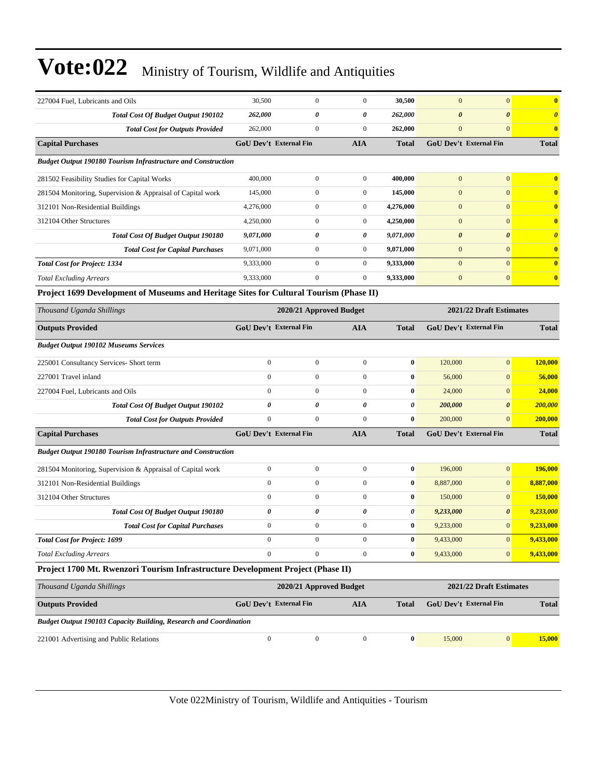| 227004 Fuel, Lubricants and Oils                                                       | 30,500           | $\boldsymbol{0}$              | $\mathbf{0}$          | 30,500       | $\mathbf{0}$          | $\mathbf{0}$                  | $\bf{0}$                |
|----------------------------------------------------------------------------------------|------------------|-------------------------------|-----------------------|--------------|-----------------------|-------------------------------|-------------------------|
| <b>Total Cost Of Budget Output 190102</b>                                              | 262,000          | 0                             | 0                     | 262,000      | $\boldsymbol{\theta}$ | $\boldsymbol{\theta}$         | $\boldsymbol{\theta}$   |
| <b>Total Cost for Outputs Provided</b>                                                 | 262,000          | $\boldsymbol{0}$              | $\boldsymbol{0}$      | 262,000      | $\mathbf{0}$          | $\mathbf{0}$                  | $\bf{0}$                |
| <b>Capital Purchases</b>                                                               |                  | <b>GoU Dev't External Fin</b> | AIA                   | <b>Total</b> |                       | <b>GoU Dev't External Fin</b> | <b>Total</b>            |
| <b>Budget Output 190180 Tourism Infrastructure and Construction</b>                    |                  |                               |                       |              |                       |                               |                         |
| 281502 Feasibility Studies for Capital Works                                           | 400,000          | $\boldsymbol{0}$              | $\mathbf{0}$          | 400,000      | $\mathbf{0}$          | $\mathbf{0}$                  | $\bf{0}$                |
| 281504 Monitoring, Supervision & Appraisal of Capital work                             | 145,000          | $\mathbf{0}$                  | $\boldsymbol{0}$      | 145,000      | $\mathbf{0}$          | $\mathbf{0}$                  | $\bf{0}$                |
| 312101 Non-Residential Buildings                                                       | 4,276,000        | $\boldsymbol{0}$              | $\boldsymbol{0}$      | 4,276,000    | $\mathbf{0}$          | $\mathbf{0}$                  | $\bf{0}$                |
| 312104 Other Structures                                                                | 4,250,000        | $\boldsymbol{0}$              | $\boldsymbol{0}$      | 4,250,000    | $\mathbf{0}$          | $\mathbf{0}$                  | $\bf{0}$                |
| Total Cost Of Budget Output 190180                                                     | 9,071,000        | 0                             | 0                     | 9,071,000    | $\boldsymbol{\theta}$ | $\boldsymbol{\theta}$         | $\boldsymbol{\theta}$   |
| <b>Total Cost for Capital Purchases</b>                                                | 9,071,000        | $\boldsymbol{0}$              | $\boldsymbol{0}$      | 9,071,000    | $\mathbf{0}$          | $\mathbf{0}$                  | $\bf{0}$                |
| <b>Total Cost for Project: 1334</b>                                                    | 9,333,000        | $\boldsymbol{0}$              | $\boldsymbol{0}$      | 9,333,000    | $\mathbf{0}$          | $\mathbf{0}$                  | $\overline{\mathbf{0}}$ |
| <b>Total Excluding Arrears</b>                                                         | 9,333,000        | $\overline{0}$                | $\boldsymbol{0}$      | 9,333,000    | $\mathbf{0}$          | $\mathbf{0}$                  | $\bf{0}$                |
| Project 1699 Development of Museums and Heritage Sites for Cultural Tourism (Phase II) |                  |                               |                       |              |                       |                               |                         |
| Thousand Uganda Shillings                                                              |                  | 2020/21 Approved Budget       |                       |              |                       | 2021/22 Draft Estimates       |                         |
| <b>Outputs Provided</b>                                                                |                  | GoU Dev't External Fin        | <b>AIA</b>            | Total        |                       | <b>GoU Dev't External Fin</b> | <b>Total</b>            |
| <b>Budget Output 190102 Museums Services</b>                                           |                  |                               |                       |              |                       |                               |                         |
| 225001 Consultancy Services- Short term                                                | $\boldsymbol{0}$ | $\boldsymbol{0}$              | $\boldsymbol{0}$      | $\bf{0}$     | 120,000               | $\mathbf{0}$                  | 120,000                 |
| 227001 Travel inland                                                                   | $\boldsymbol{0}$ | $\boldsymbol{0}$              | $\boldsymbol{0}$      | $\bf{0}$     | 56,000                | $\mathbf{0}$                  | 56,000                  |
| 227004 Fuel, Lubricants and Oils                                                       | $\mathbf{0}$     | $\mathbf{0}$                  | $\boldsymbol{0}$      | $\bf{0}$     | 24,000                | $\mathbf{0}$                  | 24,000                  |
| <b>Total Cost Of Budget Output 190102</b>                                              | 0                | 0                             | $\boldsymbol{\theta}$ | $\theta$     | 200,000               | $\boldsymbol{\theta}$         | <b>200,000</b>          |
| <b>Total Cost for Outputs Provided</b>                                                 | $\mathbf{0}$     | $\boldsymbol{0}$              | $\mathbf{0}$          | $\bf{0}$     | 200,000               | $\mathbf{0}$                  | 200,000                 |
| <b>Capital Purchases</b>                                                               |                  | <b>GoU Dev't External Fin</b> | <b>AIA</b>            | <b>Total</b> |                       | GoU Dev't External Fin        | <b>Total</b>            |
| <b>Budget Output 190180 Tourism Infrastructure and Construction</b>                    |                  |                               |                       |              |                       |                               |                         |
| 281504 Monitoring, Supervision & Appraisal of Capital work                             | $\boldsymbol{0}$ | $\boldsymbol{0}$              | $\boldsymbol{0}$      | $\bf{0}$     | 196,000               | $\mathbf{0}$                  | 196,000                 |
| 312101 Non-Residential Buildings                                                       | $\boldsymbol{0}$ | 0                             | $\boldsymbol{0}$      | $\bf{0}$     | 8,887,000             | $\mathbf{0}$                  | 8,887,000               |
| 312104 Other Structures                                                                | $\mathbf{0}$     | $\mathbf{0}$                  | $\boldsymbol{0}$      | $\bf{0}$     | 150,000               | $\mathbf{0}$                  | <b>150,000</b>          |
| <b>Total Cost Of Budget Output 190180</b>                                              | 0                | 0                             | 0                     | $\theta$     | 9,233,000             | $\boldsymbol{\theta}$         | 9,233,000               |
| <b>Total Cost for Capital Purchases</b>                                                | $\boldsymbol{0}$ | 0                             | $\boldsymbol{0}$      | $\bf{0}$     | 9,233,000             | $\mathbf{0}$                  | 9,233,000               |
| <b>Total Cost for Project: 1699</b>                                                    | $\boldsymbol{0}$ | $\mathbf{0}$                  | $\boldsymbol{0}$      | $\bf{0}$     | 9,433,000             | $\vert 0 \vert$               | 9,433,000               |
| <b>Total Excluding Arrears</b>                                                         | $\boldsymbol{0}$ | $\overline{0}$                | $\boldsymbol{0}$      | $\bf{0}$     | 9,433,000             | $\mathbf{0}$                  | 9,433,000               |
| Project 1700 Mt. Rwenzori Tourism Infrastructure Development Project (Phase II)        |                  |                               |                       |              |                       |                               |                         |
| Thousand Uganda Shillings                                                              |                  | 2020/21 Approved Budget       |                       |              |                       | 2021/22 Draft Estimates       |                         |
| <b>Outputs Provided</b>                                                                |                  | <b>GoU Dev't External Fin</b> | <b>AIA</b>            | <b>Total</b> |                       | <b>GoU Dev't External Fin</b> | <b>Total</b>            |
| Budget Output 190103 Capacity Building, Research and Coordination                      |                  |                               |                       |              |                       |                               |                         |
| 221001 Advertising and Public Relations                                                | $\boldsymbol{0}$ | $\boldsymbol{0}$              | $\boldsymbol{0}$      | $\bf{0}$     | 15,000                | $\vert 0 \vert$               | 15,000                  |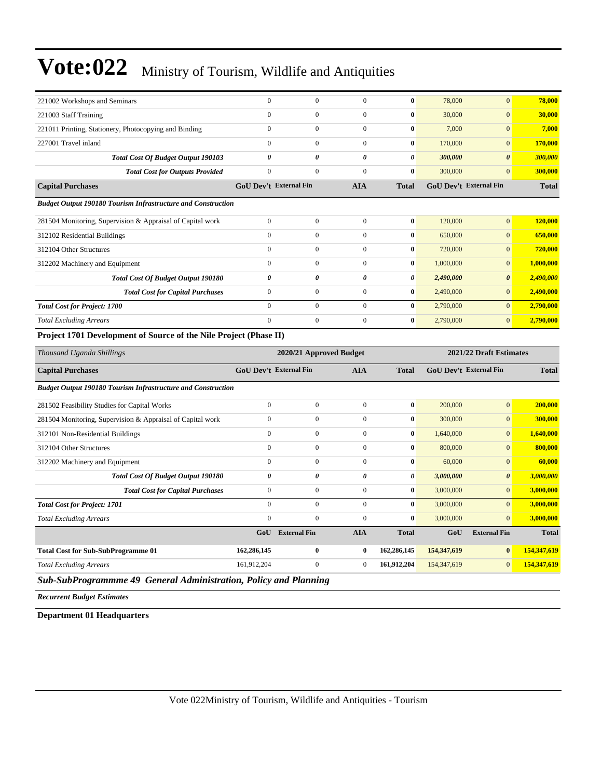| 221002 Workshops and Seminars                                       | $\mathbf{0}$                  | $\overline{0}$          | $\mathbf{0}$          | $\bf{0}$              | 78,000      | $\overline{0}$                | 78,000       |
|---------------------------------------------------------------------|-------------------------------|-------------------------|-----------------------|-----------------------|-------------|-------------------------------|--------------|
| 221003 Staff Training                                               | $\overline{0}$                | $\boldsymbol{0}$        | $\boldsymbol{0}$      | $\bf{0}$              | 30,000      | $\overline{0}$                | 30,000       |
| 221011 Printing, Stationery, Photocopying and Binding               | $\overline{0}$                | $\boldsymbol{0}$        | $\boldsymbol{0}$      | $\bf{0}$              | 7,000       | $\mathbf{0}$                  | 7,000        |
| 227001 Travel inland                                                | $\mathbf{0}$                  | $\overline{0}$          | $\mathbf{0}$          | $\bf{0}$              | 170,000     | $\mathbf{0}$                  | 170,000      |
| <b>Total Cost Of Budget Output 190103</b>                           | $\theta$                      | $\boldsymbol{\theta}$   | $\boldsymbol{\theta}$ | $\boldsymbol{\theta}$ | 300,000     | $\boldsymbol{\theta}$         | 300,000      |
| <b>Total Cost for Outputs Provided</b>                              | $\overline{0}$                | $\boldsymbol{0}$        | $\overline{0}$        | $\bf{0}$              | 300,000     | $\overline{0}$                | 300,000      |
| <b>Capital Purchases</b>                                            | <b>GoU Dev't External Fin</b> |                         | <b>AIA</b>            | <b>Total</b>          |             | <b>GoU Dev't External Fin</b> | <b>Total</b> |
| <b>Budget Output 190180 Tourism Infrastructure and Construction</b> |                               |                         |                       |                       |             |                               |              |
| 281504 Monitoring, Supervision & Appraisal of Capital work          | $\mathbf{0}$                  | $\overline{0}$          | $\mathbf{0}$          | $\bf{0}$              | 120,000     | $\mathbf{0}$                  | 120,000      |
| 312102 Residential Buildings                                        | $\overline{0}$                | $\boldsymbol{0}$        | $\boldsymbol{0}$      | $\bf{0}$              | 650,000     | $\mathbf{0}$                  | 650,000      |
| 312104 Other Structures                                             | $\overline{0}$                | $\boldsymbol{0}$        | $\boldsymbol{0}$      | $\bf{0}$              | 720,000     | $\overline{0}$                | 720,000      |
| 312202 Machinery and Equipment                                      | $\boldsymbol{0}$              | $\boldsymbol{0}$        | $\boldsymbol{0}$      | $\mathbf{0}$          | 1,000,000   | $\mathbf{0}$                  | 1,000,000    |
| Total Cost Of Budget Output 190180                                  | $\theta$                      | $\theta$                | $\boldsymbol{\theta}$ | $\boldsymbol{\theta}$ | 2,490,000   | $\boldsymbol{\theta}$         | 2,490,000    |
| <b>Total Cost for Capital Purchases</b>                             | $\mathbf{0}$                  | $\boldsymbol{0}$        | $\boldsymbol{0}$      | $\bf{0}$              | 2,490,000   | $\mathbf{0}$                  | 2,490,000    |
| <b>Total Cost for Project: 1700</b>                                 | $\overline{0}$                | $\overline{0}$          | $\overline{0}$        | $\bf{0}$              | 2,790,000   | $\overline{0}$                | 2,790,000    |
| <b>Total Excluding Arrears</b>                                      | $\overline{0}$                | $\boldsymbol{0}$        | $\boldsymbol{0}$      | $\bf{0}$              | 2,790,000   | $\mathbf{0}$                  | 2,790,000    |
| Project 1701 Development of Source of the Nile Project (Phase II)   |                               |                         |                       |                       |             |                               |              |
|                                                                     |                               |                         |                       |                       |             |                               |              |
| Thousand Uganda Shillings                                           |                               | 2020/21 Approved Budget |                       |                       |             | 2021/22 Draft Estimates       |              |
| <b>Capital Purchases</b>                                            | <b>GoU Dev't External Fin</b> |                         | AIA                   | <b>Total</b>          |             | GoU Dev't External Fin        | <b>Total</b> |
| <b>Budget Output 190180 Tourism Infrastructure and Construction</b> |                               |                         |                       |                       |             |                               |              |
| 281502 Feasibility Studies for Capital Works                        | $\overline{0}$                | $\boldsymbol{0}$        | $\boldsymbol{0}$      | $\bf{0}$              | 200,000     | $\overline{0}$                | 200,000      |
| 281504 Monitoring, Supervision & Appraisal of Capital work          | $\mathbf{0}$                  | $\boldsymbol{0}$        | $\mathbf{0}$          | $\bf{0}$              | 300,000     | $\mathbf{0}$                  | 300,000      |
| 312101 Non-Residential Buildings                                    | $\overline{0}$                | $\boldsymbol{0}$        | $\boldsymbol{0}$      | $\bf{0}$              | 1,640,000   | $\overline{0}$                | 1,640,000    |
| 312104 Other Structures                                             | $\boldsymbol{0}$              | $\boldsymbol{0}$        | $\boldsymbol{0}$      | $\bf{0}$              | 800,000     | $\mathbf{0}$                  | 800,000      |
| 312202 Machinery and Equipment                                      | $\overline{0}$                | $\boldsymbol{0}$        | $\mathbf{0}$          | $\bf{0}$              | 60,000      | $\overline{0}$                | 60,000       |
| <b>Total Cost Of Budget Output 190180</b>                           | $\theta$                      | $\theta$                | $\boldsymbol{\theta}$ | $\boldsymbol{\theta}$ | 3,000,000   | $\boldsymbol{\theta}$         | 3,000,000    |
| <b>Total Cost for Capital Purchases</b>                             | $\overline{0}$                | $\boldsymbol{0}$        | $\boldsymbol{0}$      | $\bf{0}$              | 3,000,000   | $\mathbf{0}$                  | 3,000,000    |
| <b>Total Cost for Project: 1701</b>                                 | $\mathbf{0}$                  | $\boldsymbol{0}$        | $\mathbf{0}$          | $\bf{0}$              | 3,000,000   | $\overline{0}$                | 3,000,000    |
| <b>Total Excluding Arrears</b>                                      | $\theta$                      | $\boldsymbol{0}$        | $\boldsymbol{0}$      | $\mathbf{0}$          | 3,000,000   | $\overline{0}$                | 3,000,000    |
|                                                                     | GoU                           | <b>External Fin</b>     | <b>AIA</b>            | <b>Total</b>          | GoU         | <b>External Fin</b>           | <b>Total</b> |
| <b>Total Cost for Sub-SubProgramme 01</b>                           | 162,286,145                   | $\bf{0}$                | $\bf{0}$              | 162,286,145           | 154,347,619 | $\bf{0}$                      | 154,347,619  |
| <b>Total Excluding Arrears</b>                                      | 161,912,204                   | $\overline{0}$          | $\mathbf{0}$          | 161,912,204           | 154,347,619 | $\overline{0}$                | 154,347,619  |

*Sub-SubProgrammme 49 General Administration, Policy and Planning*

*Recurrent Budget Estimates*

**Department 01 Headquarters**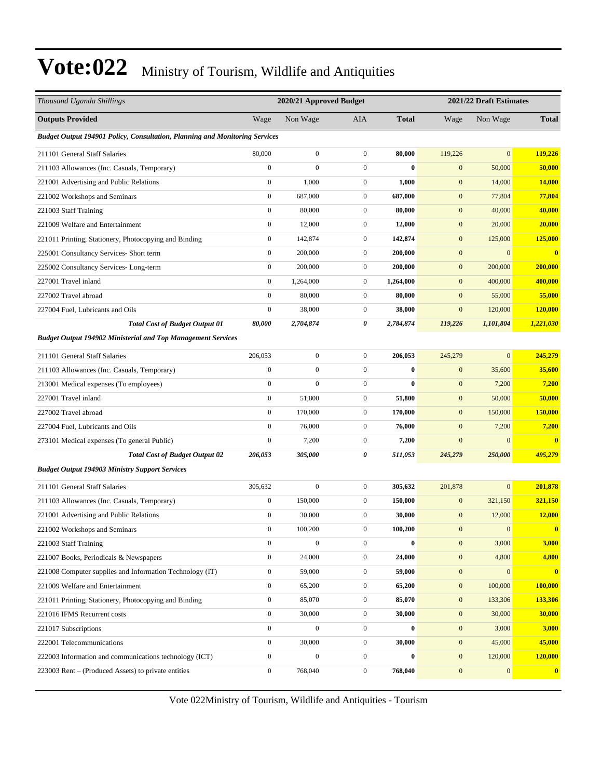| Thousand Uganda Shillings                                                   |                  | 2020/21 Approved Budget<br>2021/22 Draft Estimates |                  |              |                  |                  |              |
|-----------------------------------------------------------------------------|------------------|----------------------------------------------------|------------------|--------------|------------------|------------------|--------------|
| <b>Outputs Provided</b>                                                     | Wage             | Non Wage                                           | AIA              | <b>Total</b> | Wage             | Non Wage         | <b>Total</b> |
| Budget Output 194901 Policy, Consultation, Planning and Monitoring Services |                  |                                                    |                  |              |                  |                  |              |
| 211101 General Staff Salaries                                               | 80,000           | $\overline{0}$                                     | $\mathbf{0}$     | 80,000       | 119,226          | $\mathbf{0}$     | 119,226      |
| 211103 Allowances (Inc. Casuals, Temporary)                                 | $\boldsymbol{0}$ | $\mathbf{0}$                                       | $\boldsymbol{0}$ | $\mathbf{0}$ | $\mathbf{0}$     | 50,000           | 50,000       |
| 221001 Advertising and Public Relations                                     | $\boldsymbol{0}$ | 1,000                                              | $\boldsymbol{0}$ | 1,000        | $\mathbf{0}$     | 14,000           | 14,000       |
| 221002 Workshops and Seminars                                               | $\boldsymbol{0}$ | 687,000                                            | $\mathbf{0}$     | 687,000      | $\boldsymbol{0}$ | 77,804           | 77,804       |
| 221003 Staff Training                                                       | $\boldsymbol{0}$ | 80,000                                             | $\mathbf{0}$     | 80,000       | $\mathbf{0}$     | 40,000           | 40,000       |
| 221009 Welfare and Entertainment                                            | $\boldsymbol{0}$ | 12,000                                             | $\mathbf{0}$     | 12,000       | $\boldsymbol{0}$ | 20,000           | 20,000       |
| 221011 Printing, Stationery, Photocopying and Binding                       | $\boldsymbol{0}$ | 142,874                                            | $\mathbf{0}$     | 142,874      | $\mathbf{0}$     | 125,000          | 125,000      |
| 225001 Consultancy Services- Short term                                     | $\boldsymbol{0}$ | 200,000                                            | $\mathbf{0}$     | 200,000      | $\mathbf{0}$     | $\mathbf{0}$     | $\bf{0}$     |
| 225002 Consultancy Services-Long-term                                       | $\boldsymbol{0}$ | 200,000                                            | $\mathbf{0}$     | 200,000      | $\boldsymbol{0}$ | 200,000          | 200,000      |
| 227001 Travel inland                                                        | $\boldsymbol{0}$ | 1,264,000                                          | $\mathbf{0}$     | 1,264,000    | $\mathbf{0}$     | 400,000          | 400,000      |
| 227002 Travel abroad                                                        | $\boldsymbol{0}$ | 80,000                                             | $\mathbf{0}$     | 80,000       | $\mathbf{0}$     | 55,000           | 55,000       |
| 227004 Fuel. Lubricants and Oils                                            | $\boldsymbol{0}$ | 38,000                                             | $\mathbf{0}$     | 38,000       | $\mathbf{0}$     | 120,000          | 120,000      |
| <b>Total Cost of Budget Output 01</b>                                       | 80,000           | 2,704,874                                          | 0                | 2,784,874    | 119,226          | 1,101,804        | 1,221,030    |
| <b>Budget Output 194902 Ministerial and Top Management Services</b>         |                  |                                                    |                  |              |                  |                  |              |
| 211101 General Staff Salaries                                               | 206,053          | $\overline{0}$                                     | $\mathbf{0}$     | 206,053      | 245,279          | $\mathbf{0}$     | 245,279      |
| 211103 Allowances (Inc. Casuals, Temporary)                                 | $\boldsymbol{0}$ | $\mathbf{0}$                                       | $\boldsymbol{0}$ | $\bf{0}$     | $\mathbf{0}$     | 35,600           | 35,600       |
| 213001 Medical expenses (To employees)                                      | $\boldsymbol{0}$ | $\overline{0}$                                     | $\boldsymbol{0}$ | $\bf{0}$     | $\boldsymbol{0}$ | 7,200            | 7,200        |
| 227001 Travel inland                                                        | $\boldsymbol{0}$ | 51,800                                             | $\mathbf{0}$     | 51,800       | $\mathbf{0}$     | 50,000           | 50,000       |
| 227002 Travel abroad                                                        | $\boldsymbol{0}$ | 170,000                                            | $\mathbf{0}$     | 170,000      | $\mathbf{0}$     | 150,000          | 150,000      |
| 227004 Fuel, Lubricants and Oils                                            | $\mathbf{0}$     | 76,000                                             | $\mathbf{0}$     | 76,000       | $\mathbf{0}$     | 7,200            | 7,200        |
| 273101 Medical expenses (To general Public)                                 | $\boldsymbol{0}$ | 7,200                                              | $\boldsymbol{0}$ | 7,200        | $\mathbf{0}$     | $\mathbf{0}$     | $\bf{0}$     |
| <b>Total Cost of Budget Output 02</b>                                       | 206,053          | 305,000                                            | 0                | 511,053      | 245,279          | 250,000          | 495,279      |
| <b>Budget Output 194903 Ministry Support Services</b>                       |                  |                                                    |                  |              |                  |                  |              |
| 211101 General Staff Salaries                                               | 305,632          | $\boldsymbol{0}$                                   | $\mathbf{0}$     | 305,632      | 201,878          | $\mathbf{0}$     | 201,878      |
| 211103 Allowances (Inc. Casuals, Temporary)                                 | $\boldsymbol{0}$ | 150,000                                            | $\boldsymbol{0}$ | 150,000      | $\mathbf{0}$     | 321,150          | 321,150      |
| 221001 Advertising and Public Relations                                     | $\boldsymbol{0}$ | 30,000                                             | $\mathbf{0}$     | 30,000       | $\mathbf{0}$     | 12,000           | 12,000       |
| 221002 Workshops and Seminars                                               | $\mathbf{0}$     | 100,200                                            | 0                | 100,200      | $\mathbf{0}$     | $\mathbf{0}$     | $\mathbf{0}$ |
| 221003 Staff Training                                                       | $\boldsymbol{0}$ | $\boldsymbol{0}$                                   | $\boldsymbol{0}$ | $\bf{0}$     | $\boldsymbol{0}$ | 3,000            | 3,000        |
| 221007 Books, Periodicals & Newspapers                                      | $\boldsymbol{0}$ | 24,000                                             | $\boldsymbol{0}$ | 24,000       | $\boldsymbol{0}$ | 4,800            | 4,800        |
| 221008 Computer supplies and Information Technology (IT)                    | $\boldsymbol{0}$ | 59,000                                             | $\boldsymbol{0}$ | 59,000       | $\boldsymbol{0}$ | $\boldsymbol{0}$ | $\bf{0}$     |
| 221009 Welfare and Entertainment                                            | $\boldsymbol{0}$ | 65,200                                             | $\boldsymbol{0}$ | 65,200       | $\boldsymbol{0}$ | 100,000          | 100,000      |
| 221011 Printing, Stationery, Photocopying and Binding                       | $\boldsymbol{0}$ | 85,070                                             | $\boldsymbol{0}$ | 85,070       | $\boldsymbol{0}$ | 133,306          | 133,306      |
| 221016 IFMS Recurrent costs                                                 | $\boldsymbol{0}$ | 30,000                                             | $\boldsymbol{0}$ | 30,000       | $\boldsymbol{0}$ | 30,000           | 30,000       |
| 221017 Subscriptions                                                        | $\boldsymbol{0}$ | $\boldsymbol{0}$                                   | $\boldsymbol{0}$ | $\bf{0}$     | $\boldsymbol{0}$ | 3,000            | 3,000        |
| 222001 Telecommunications                                                   | $\boldsymbol{0}$ | 30,000                                             | $\boldsymbol{0}$ | 30,000       | $\boldsymbol{0}$ | 45,000           | 45,000       |
| 222003 Information and communications technology (ICT)                      | $\boldsymbol{0}$ | $\mathbf{0}$                                       | $\mathbf{0}$     | $\bf{0}$     | $\boldsymbol{0}$ | 120,000          | 120,000      |
| 223003 Rent - (Produced Assets) to private entities                         | $\boldsymbol{0}$ | 768,040                                            | $\boldsymbol{0}$ | 768,040      | $\boldsymbol{0}$ | $\boldsymbol{0}$ | $\bf{0}$     |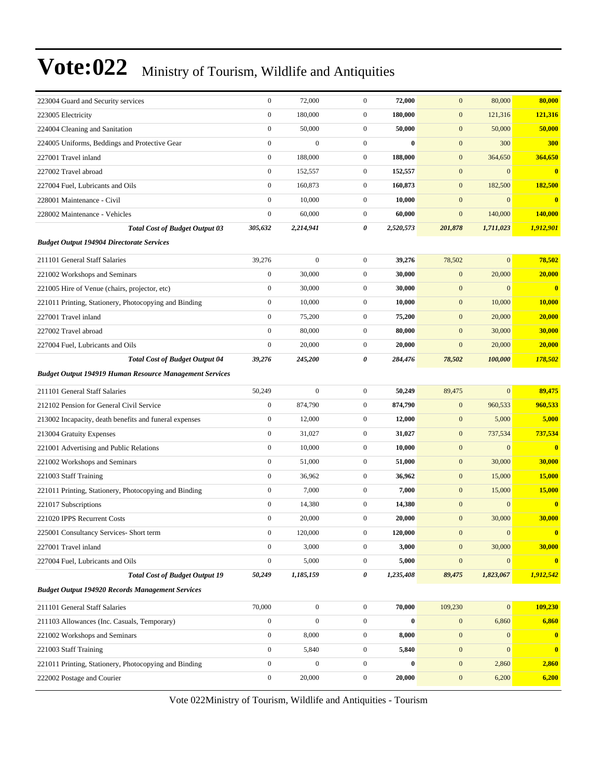| 223004 Guard and Security services                             | $\boldsymbol{0}$ | 72,000           | $\mathbf{0}$     | 72,000    | $\mathbf{0}$     | 80,000           | 80,000        |
|----------------------------------------------------------------|------------------|------------------|------------------|-----------|------------------|------------------|---------------|
| 223005 Electricity                                             | $\boldsymbol{0}$ | 180,000          | $\boldsymbol{0}$ | 180,000   | $\mathbf{0}$     | 121,316          | 121,316       |
| 224004 Cleaning and Sanitation                                 | $\boldsymbol{0}$ | 50,000           | $\mathbf{0}$     | 50,000    | $\mathbf{0}$     | 50,000           | 50,000        |
| 224005 Uniforms, Beddings and Protective Gear                  | $\boldsymbol{0}$ | $\overline{0}$   | $\mathbf{0}$     | $\bf{0}$  | $\boldsymbol{0}$ | 300              | 300           |
| 227001 Travel inland                                           | $\boldsymbol{0}$ | 188,000          | $\mathbf{0}$     | 188,000   | $\mathbf{0}$     | 364,650          | 364,650       |
| 227002 Travel abroad                                           | $\boldsymbol{0}$ | 152,557          | $\mathbf{0}$     | 152,557   | $\mathbf{0}$     | $\overline{0}$   | $\bf{0}$      |
| 227004 Fuel, Lubricants and Oils                               | $\boldsymbol{0}$ | 160,873          | $\mathbf{0}$     | 160,873   | $\boldsymbol{0}$ | 182,500          | 182,500       |
| 228001 Maintenance - Civil                                     | $\boldsymbol{0}$ | 10,000           | $\mathbf{0}$     | 10,000    | $\mathbf{0}$     | $\overline{0}$   | $\bf{0}$      |
| 228002 Maintenance - Vehicles                                  | $\boldsymbol{0}$ | 60,000           | $\mathbf{0}$     | 60,000    | $\mathbf{0}$     | 140,000          | 140,000       |
| <b>Total Cost of Budget Output 03</b>                          | 305,632          | 2,214,941        | 0                | 2,520,573 | 201,878          | 1,711,023        | 1,912,901     |
| <b>Budget Output 194904 Directorate Services</b>               |                  |                  |                  |           |                  |                  |               |
| 211101 General Staff Salaries                                  | 39,276           | $\mathbf{0}$     | $\boldsymbol{0}$ | 39,276    | 78,502           | $\overline{0}$   | 78,502        |
| 221002 Workshops and Seminars                                  | $\boldsymbol{0}$ | 30,000           | $\mathbf{0}$     | 30,000    | $\mathbf{0}$     | 20,000           | 20,000        |
| 221005 Hire of Venue (chairs, projector, etc)                  | $\boldsymbol{0}$ | 30,000           | $\mathbf{0}$     | 30,000    | $\mathbf{0}$     | $\Omega$         | $\bf{0}$      |
| 221011 Printing, Stationery, Photocopying and Binding          | $\boldsymbol{0}$ | 10,000           | $\mathbf{0}$     | 10,000    | $\boldsymbol{0}$ | 10,000           | <b>10,000</b> |
| 227001 Travel inland                                           | $\boldsymbol{0}$ | 75,200           | $\mathbf{0}$     | 75,200    | $\boldsymbol{0}$ | 20,000           | 20,000        |
| 227002 Travel abroad                                           | $\boldsymbol{0}$ | 80,000           | $\boldsymbol{0}$ | 80,000    | $\mathbf{0}$     | 30,000           | 30,000        |
| 227004 Fuel, Lubricants and Oils                               | $\mathbf{0}$     | 20,000           | $\mathbf{0}$     | 20,000    | $\mathbf{0}$     | 20,000           | 20,000        |
| <b>Total Cost of Budget Output 04</b>                          | 39,276           | 245,200          | 0                | 284,476   | 78,502           | 100,000          | 178,502       |
| <b>Budget Output 194919 Human Resource Management Services</b> |                  |                  |                  |           |                  |                  |               |
| 211101 General Staff Salaries                                  | 50,249           | $\mathbf{0}$     | $\mathbf{0}$     | 50,249    | 89,475           | $\overline{0}$   | 89,475        |
| 212102 Pension for General Civil Service                       | $\overline{0}$   | 874,790          | $\mathbf{0}$     | 874,790   | $\mathbf{0}$     | 960,533          | 960,533       |
| 213002 Incapacity, death benefits and funeral expenses         | $\boldsymbol{0}$ | 12,000           | $\boldsymbol{0}$ | 12,000    | $\boldsymbol{0}$ | 5,000            | 5,000         |
| 213004 Gratuity Expenses                                       | $\boldsymbol{0}$ | 31,027           | $\mathbf{0}$     | 31,027    | $\boldsymbol{0}$ | 737,534          | 737,534       |
| 221001 Advertising and Public Relations                        | $\boldsymbol{0}$ | 10,000           | $\mathbf{0}$     | 10,000    | $\boldsymbol{0}$ | $\overline{0}$   | $\bf{0}$      |
| 221002 Workshops and Seminars                                  | $\boldsymbol{0}$ | 51,000           | $\mathbf{0}$     | 51,000    | $\boldsymbol{0}$ | 30,000           | 30,000        |
| 221003 Staff Training                                          | $\boldsymbol{0}$ | 36,962           | $\mathbf{0}$     | 36,962    | $\mathbf{0}$     | 15,000           | 15,000        |
| 221011 Printing, Stationery, Photocopying and Binding          | $\boldsymbol{0}$ | 7,000            | $\boldsymbol{0}$ | 7,000     | $\mathbf{0}$     | 15,000           | 15,000        |
| 221017 Subscriptions                                           | $\boldsymbol{0}$ | 14,380           | $\mathbf{0}$     | 14,380    | $\mathbf{0}$     | $\overline{0}$   | $\bf{0}$      |
| 221020 IPPS Recurrent Costs                                    | $\boldsymbol{0}$ | 20,000           | $\mathbf{0}$     | 20,000    | $\mathbf{0}$     | 30,000           | 30,000        |
| 225001 Consultancy Services- Short term                        | $\boldsymbol{0}$ | 120,000          | $\boldsymbol{0}$ | 120,000   | $\mathbf{0}$     | $\boldsymbol{0}$ | $\bf{0}$      |
| 227001 Travel inland                                           | $\boldsymbol{0}$ | 3,000            | $\boldsymbol{0}$ | 3,000     | $\mathbf{0}$     | 30,000           | 30,000        |
| 227004 Fuel, Lubricants and Oils                               | $\boldsymbol{0}$ | 5,000            | $\boldsymbol{0}$ | 5,000     | $\boldsymbol{0}$ | $\boldsymbol{0}$ | $\bf{0}$      |
| <b>Total Cost of Budget Output 19</b>                          | 50,249           | 1,185,159        | 0                | 1,235,408 | 89,475           | 1,823,067        | 1,912,542     |
| <b>Budget Output 194920 Records Management Services</b>        |                  |                  |                  |           |                  |                  |               |
| 211101 General Staff Salaries                                  | 70,000           | $\boldsymbol{0}$ | $\boldsymbol{0}$ | 70,000    | 109,230          | $\boldsymbol{0}$ | 109,230       |
| 211103 Allowances (Inc. Casuals, Temporary)                    | $\boldsymbol{0}$ | $\boldsymbol{0}$ | $\boldsymbol{0}$ | $\bf{0}$  | $\boldsymbol{0}$ | 6,860            | 6,860         |
| 221002 Workshops and Seminars                                  | $\boldsymbol{0}$ | 8,000            | $\boldsymbol{0}$ | 8,000     | $\boldsymbol{0}$ | $\mathbf{0}$     | $\bf{0}$      |
| 221003 Staff Training                                          | $\boldsymbol{0}$ | 5,840            | $\boldsymbol{0}$ | 5,840     | $\mathbf{0}$     | $\mathbf{0}$     | $\bf{0}$      |
| 221011 Printing, Stationery, Photocopying and Binding          | $\boldsymbol{0}$ | $\boldsymbol{0}$ | $\boldsymbol{0}$ | $\bf{0}$  | $\boldsymbol{0}$ | 2,860            | 2,860         |
| 222002 Postage and Courier                                     | $\boldsymbol{0}$ | 20,000           | $\boldsymbol{0}$ | 20,000    | $\boldsymbol{0}$ | 6,200            | 6,200         |
|                                                                |                  |                  |                  |           |                  |                  |               |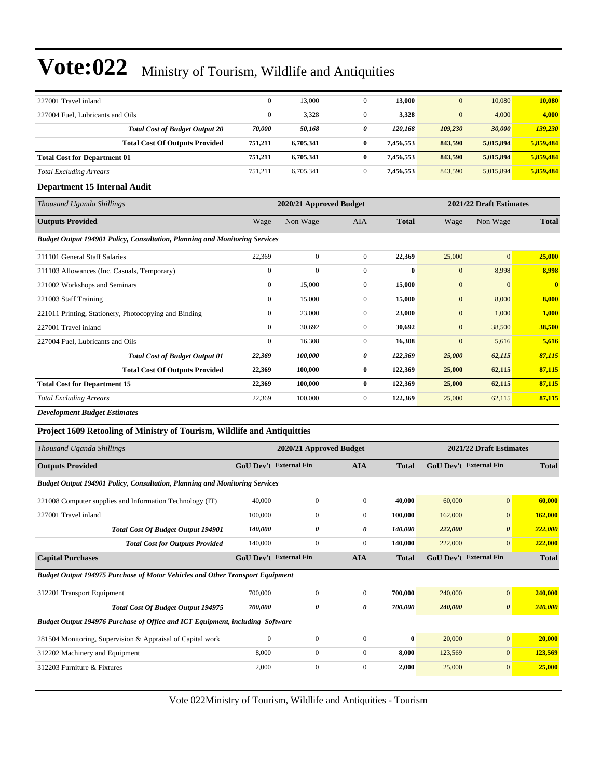| 227001 Travel inland                                                        | $\mathbf{0}$                  | 13,000                                             | $\mathbf{0}$     | 13,000       | $\mathbf{0}$                  | 10,080         | 10,080                  |  |  |
|-----------------------------------------------------------------------------|-------------------------------|----------------------------------------------------|------------------|--------------|-------------------------------|----------------|-------------------------|--|--|
| 227004 Fuel, Lubricants and Oils                                            | $\mathbf{0}$                  | 3,328                                              | $\mathbf{0}$     | 3,328        | $\mathbf{0}$                  | 4,000          | 4,000                   |  |  |
| <b>Total Cost of Budget Output 20</b>                                       | 70,000                        | 50,168                                             | 0                | 120,168      | 109,230                       | 30,000         | 139,230                 |  |  |
| <b>Total Cost Of Outputs Provided</b>                                       | 751,211                       | 6,705,341                                          | 0                | 7,456,553    | 843,590                       | 5,015,894      | 5,859,484               |  |  |
| <b>Total Cost for Department 01</b>                                         | 751,211                       | 6,705,341                                          | $\bf{0}$         | 7,456,553    | 843,590                       | 5,015,894      | 5,859,484               |  |  |
| <b>Total Excluding Arrears</b>                                              | 751,211                       | 6,705,341                                          | $\overline{0}$   | 7,456,553    | 843,590                       | 5,015,894      | 5,859,484               |  |  |
| <b>Department 15 Internal Audit</b>                                         |                               |                                                    |                  |              |                               |                |                         |  |  |
| Thousand Uganda Shillings                                                   |                               | 2020/21 Approved Budget<br>2021/22 Draft Estimates |                  |              |                               |                |                         |  |  |
| <b>Outputs Provided</b>                                                     | Wage                          | Non Wage                                           | <b>AIA</b>       | <b>Total</b> | Wage                          | Non Wage       | Total                   |  |  |
| Budget Output 194901 Policy, Consultation, Planning and Monitoring Services |                               |                                                    |                  |              |                               |                |                         |  |  |
| 211101 General Staff Salaries                                               | 22,369                        | $\mathbf{0}$                                       | $\mathbf{0}$     | 22,369       | 25,000                        | $\overline{0}$ | 25,000                  |  |  |
| 211103 Allowances (Inc. Casuals, Temporary)                                 | $\boldsymbol{0}$              | $\mathbf{0}$                                       | $\mathbf{0}$     | $\bf{0}$     | $\mathbf{0}$                  | 8,998          | 8,998                   |  |  |
| 221002 Workshops and Seminars                                               | $\overline{0}$                | 15,000                                             | $\mathbf{0}$     | 15,000       | $\mathbf{0}$                  | $\mathbf{0}$   | $\overline{\mathbf{0}}$ |  |  |
| 221003 Staff Training                                                       | $\mathbf{0}$                  | 15,000                                             | $\boldsymbol{0}$ | 15,000       | $\mathbf{0}$                  | 8,000          | 8,000                   |  |  |
| 221011 Printing, Stationery, Photocopying and Binding                       | $\boldsymbol{0}$              | 23,000                                             | $\mathbf{0}$     | 23,000       | $\mathbf{0}$                  | 1,000          | 1,000                   |  |  |
| 227001 Travel inland                                                        | $\mathbf{0}$                  | 30,692                                             | $\mathbf{0}$     | 30,692       | $\mathbf{0}$                  | 38,500         | 38,500                  |  |  |
| 227004 Fuel, Lubricants and Oils                                            | $\mathbf{0}$                  | 16,308                                             | $\mathbf{0}$     | 16,308       | $\mathbf{0}$                  | 5,616          | 5,616                   |  |  |
| <b>Total Cost of Budget Output 01</b>                                       | 22,369                        | 100,000                                            | 0                | 122,369      | 25,000                        | 62,115         | 87,115                  |  |  |
| <b>Total Cost Of Outputs Provided</b>                                       | 22,369                        | 100,000                                            | $\bf{0}$         | 122,369      | 25,000                        | 62,115         | 87,115                  |  |  |
| <b>Total Cost for Department 15</b>                                         | 22,369                        | 100,000                                            | $\bf{0}$         | 122,369      | 25,000                        | 62,115         | 87,115                  |  |  |
| <b>Total Excluding Arrears</b>                                              | 22,369                        | 100,000                                            | $\overline{0}$   | 122,369      | 25,000                        | 62,115         | 87,115                  |  |  |
| <b>Development Budget Estimates</b>                                         |                               |                                                    |                  |              |                               |                |                         |  |  |
| Project 1609 Retooling of Ministry of Tourism, Wildlife and Antiquitties    |                               |                                                    |                  |              |                               |                |                         |  |  |
| Thousand Uganda Shillings                                                   |                               | 2020/21 Approved Budget                            |                  |              | 2021/22 Draft Estimates       |                |                         |  |  |
| <b>Outputs Provided</b>                                                     | <b>GoU Dev't External Fin</b> |                                                    | <b>AIA</b>       | <b>Total</b> | <b>GoU Dev't External Fin</b> |                | <b>Total</b>            |  |  |
| $(10.4001)$ $\mathbb{R}$                                                    |                               |                                                    |                  |              |                               |                |                         |  |  |

| <b>Budget Output 194901 Policy, Consultation, Planning and Monitoring Services</b>   |                               |                  |                |              |                               |                       |              |
|--------------------------------------------------------------------------------------|-------------------------------|------------------|----------------|--------------|-------------------------------|-----------------------|--------------|
| 221008 Computer supplies and Information Technology (IT)                             | 40,000                        | $\mathbf{0}$     | $\mathbf{0}$   | 40,000       | 60,000                        | $\overline{0}$        | 60,000       |
| 227001 Travel inland                                                                 | 100,000                       | $\mathbf{0}$     | $\overline{0}$ | 100,000      | 162,000                       | $\overline{0}$        | 162,000      |
| <b>Total Cost Of Budget Output 194901</b>                                            | 140,000                       | 0                | 0              | 140,000      | 222,000                       | $\theta$              | 222,000      |
| <b>Total Cost for Outputs Provided</b>                                               | 140,000                       | $\mathbf{0}$     | $\overline{0}$ | 140,000      | 222,000                       | $\overline{0}$        | 222,000      |
| <b>Capital Purchases</b>                                                             | <b>GoU Dev't External Fin</b> |                  | <b>AIA</b>     | <b>Total</b> | <b>GoU Dev't External Fin</b> |                       | <b>Total</b> |
| <b>Budget Output 194975 Purchase of Motor Vehicles and Other Transport Equipment</b> |                               |                  |                |              |                               |                       |              |
| 312201 Transport Equipment                                                           | 700,000                       | $\mathbf{0}$     | $\overline{0}$ | 700,000      | 240,000                       | $\overline{0}$        | 240,000      |
| <b>Total Cost Of Budget Output 194975</b>                                            | 700,000                       | 0                | 0              | 700,000      | 240,000                       | $\boldsymbol{\theta}$ | 240,000      |
| Budget Output 194976 Purchase of Office and ICT Equipment, including Software        |                               |                  |                |              |                               |                       |              |
| 281504 Monitoring, Supervision & Appraisal of Capital work                           | $\mathbf{0}$                  | $\mathbf{0}$     | $\mathbf{0}$   | $\mathbf{0}$ | 20,000                        | $\overline{0}$        | 20,000       |
| 312202 Machinery and Equipment                                                       | 8,000                         | $\boldsymbol{0}$ | $\mathbf{0}$   | 8,000        | 123,569                       | $\overline{0}$        | 123,569      |
| 312203 Furniture & Fixtures                                                          | 2,000                         | $\mathbf{0}$     | $\mathbf{0}$   | 2,000        | 25,000                        | $\overline{0}$        | 25,000       |